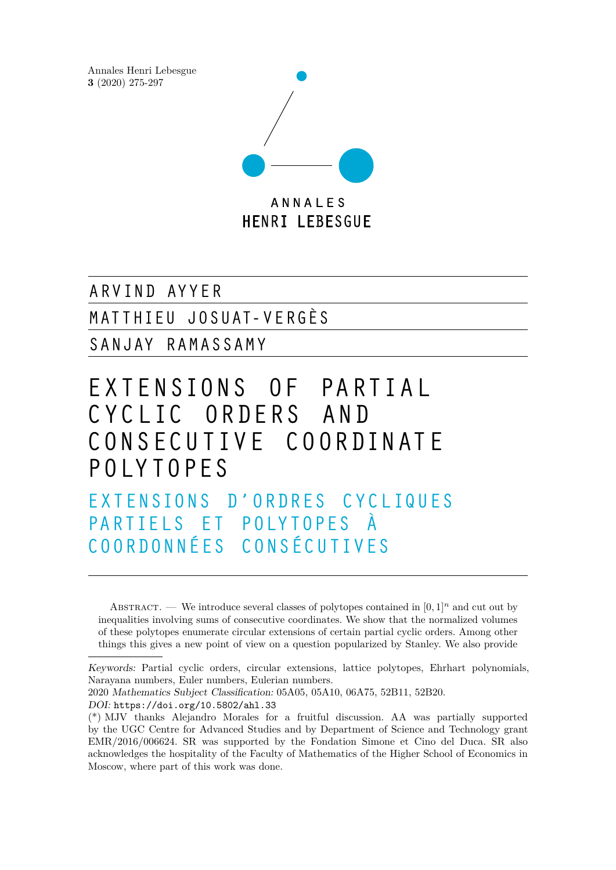Annales Henri Lebesgue **3** (2020) 275-297



A R V I N D A Y Y E R

M ATT HIEU JOSUAT- V E RGÈS

SA N JAY R A M ASSA M Y

# EXTENSIONS OF PARTIAL CYCLIC ORDERS AND CO NS EC U TIV E CO OR DIN AT E P OLY TOPES

EXTENSIONS D'ORDRES CYCLIQUES PARTIELS ET POLYTOPES À CO OR DONNÉES CONSÉCUTIVES

ABSTRACT. — We introduce several classes of polytopes contained in  $[0,1]^n$  and cut out by inequalities involving sums of consecutive coordinates. We show that the normalized volumes of these polytopes enumerate circular extensions of certain partial cyclic orders. Among other things this gives a new point of view on a question popularized by Stanley. We also provide

2020 Mathematics Subject Classification: 05A05, 05A10, 06A75, 52B11, 52B20. DOI: <https://doi.org/10.5802/ahl.33>

Keywords: Partial cyclic orders, circular extensions, lattice polytopes, Ehrhart polynomials, Narayana numbers, Euler numbers, Eulerian numbers.

<sup>(\*)</sup> MJV thanks Alejandro Morales for a fruitful discussion. AA was partially supported by the UGC Centre for Advanced Studies and by Department of Science and Technology grant EMR/2016/006624. SR was supported by the Fondation Simone et Cino del Duca. SR also acknowledges the hospitality of the Faculty of Mathematics of the Higher School of Economics in Moscow, where part of this work was done.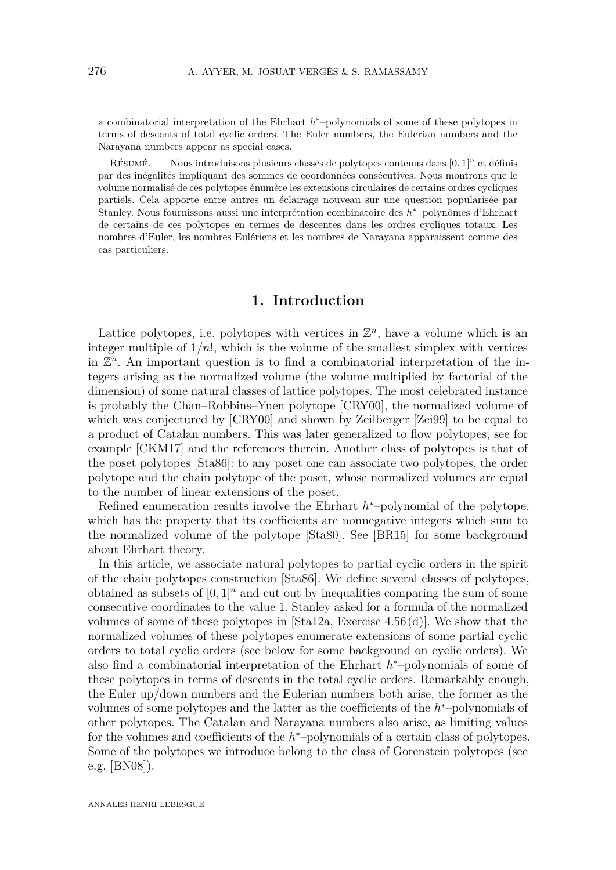<span id="page-1-0"></span>a combinatorial interpretation of the Ehrhart *h*<sup>\*</sup>−polynomials of some of these polytopes in terms of descents of total cyclic orders. The Euler numbers, the Eulerian numbers and the Narayana numbers appear as special cases.

Résumé. — Nous introduisons plusieurs classes de polytopes contenus dans [0*,* 1]*<sup>n</sup>* et définis par des inégalités impliquant des sommes de coordonnées consécutives. Nous montrons que le volume normalisé de ces polytopes énumère les extensions circulaires de certains ordres cycliques partiels. Cela apporte entre autres un éclairage nouveau sur une question popularisée par Stanley. Nous fournissons aussi une interprétation combinatoire des *h* <sup>∗</sup>–polynômes d'Ehrhart de certains de ces polytopes en termes de descentes dans les ordres cycliques totaux. Les nombres d'Euler, les nombres Eulériens et les nombres de Narayana apparaissent comme des cas particuliers.

# **1. Introduction**

Lattice polytopes, i.e. polytopes with vertices in  $\mathbb{Z}^n$ , have a volume which is an integer multiple of  $1/n!$ , which is the volume of the smallest simplex with vertices in  $\mathbb{Z}^n$ . An important question is to find a combinatorial interpretation of the integers arising as the normalized volume (the volume multiplied by factorial of the dimension) of some natural classes of lattice polytopes. The most celebrated instance is probably the Chan–Robbins–Yuen polytope [\[CRY00\]](#page-20-0), the normalized volume of which was conjectured by  $CRY00$  and shown by Zeilberger [\[Zei99\]](#page-21-0) to be equal to a product of Catalan numbers. This was later generalized to flow polytopes, see for example [\[CKM17\]](#page-20-1) and the references therein. Another class of polytopes is that of the poset polytopes [\[Sta86\]](#page-21-1): to any poset one can associate two polytopes, the order polytope and the chain polytope of the poset, whose normalized volumes are equal to the number of linear extensions of the poset.

Refined enumeration results involve the Ehrhart *h*<sup>\*</sup>−polynomial of the polytope, which has the property that its coefficients are nonnegative integers which sum to the normalized volume of the polytope [\[Sta80\]](#page-21-2). See [\[BR15\]](#page-20-2) for some background about Ehrhart theory.

In this article, we associate natural polytopes to partial cyclic orders in the spirit of the chain polytopes construction [\[Sta86\]](#page-21-1). We define several classes of polytopes, obtained as subsets of  $[0, 1]^n$  and cut out by inequalities comparing the sum of some consecutive coordinates to the value 1. Stanley asked for a formula of the normalized volumes of some of these polytopes in [\[Sta12a,](#page-21-3) Exercise 4.56 (d)]. We show that the normalized volumes of these polytopes enumerate extensions of some partial cyclic orders to total cyclic orders (see below for some background on cyclic orders). We also find a combinatorial interpretation of the Ehrhart *h* <sup>∗</sup>–polynomials of some of these polytopes in terms of descents in the total cyclic orders. Remarkably enough, the Euler up/down numbers and the Eulerian numbers both arise, the former as the volumes of some polytopes and the latter as the coefficients of the *h* <sup>∗</sup>–polynomials of other polytopes. The Catalan and Narayana numbers also arise, as limiting values for the volumes and coefficients of the  $h$ <sup>\*</sup>-polynomials of a certain class of polytopes. Some of the polytopes we introduce belong to the class of Gorenstein polytopes (see e.g. [\[BN08\]](#page-20-3)).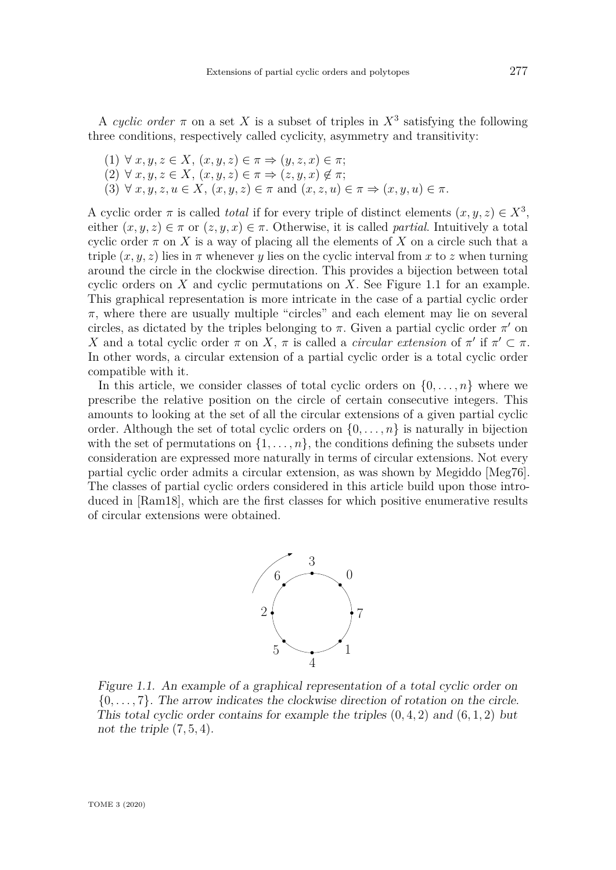<span id="page-2-1"></span>A cyclic order  $\pi$  on a set X is a subset of triples in  $X^3$  satisfying the following three conditions, respectively called cyclicity, asymmetry and transitivity:

- (1) ∀ *x, y, z* ∈ *X*, (*x, y, z*) ∈ *π* ⇒ (*y, z, x*) ∈ *π*;
- $(2) \forall x, y, z \in X, (x, y, z) \in \pi \Rightarrow (z, y, x) \notin \pi;$
- (3)  $\forall x, y, z, u \in X$ ,  $(x, y, z) \in \pi$  and  $(x, z, u) \in \pi \Rightarrow (x, y, u) \in \pi$ .

A cyclic order  $\pi$  is called *total* if for every triple of distinct elements  $(x, y, z) \in X^3$ , either  $(x, y, z) \in \pi$  or  $(z, y, x) \in \pi$ . Otherwise, it is called *partial*. Intuitively a total cyclic order  $\pi$  on X is a way of placing all the elements of X on a circle such that a triple  $(x, y, z)$  lies in  $\pi$  whenever *y* lies on the cyclic interval from *x* to *z* when turning around the circle in the clockwise direction. This provides a bijection between total cyclic orders on *X* and cyclic permutations on *X*. See Figure [1.1](#page-2-0) for an example. This graphical representation is more intricate in the case of a partial cyclic order *π*, where there are usually multiple "circles" and each element may lie on several circles, as dictated by the triples belonging to  $\pi$ . Given a partial cyclic order  $\pi'$  on *X* and a total cyclic order  $\pi$  on *X*,  $\pi$  is called a *circular extension* of  $\pi'$  if  $\pi' \subset \pi$ . In other words, a circular extension of a partial cyclic order is a total cyclic order compatible with it.

In this article, we consider classes of total cyclic orders on  $\{0, \ldots, n\}$  where we prescribe the relative position on the circle of certain consecutive integers. This amounts to looking at the set of all the circular extensions of a given partial cyclic order. Although the set of total cyclic orders on  $\{0, \ldots, n\}$  is naturally in bijection with the set of permutations on  $\{1, \ldots, n\}$ , the conditions defining the subsets under consideration are expressed more naturally in terms of circular extensions. Not every partial cyclic order admits a circular extension, as was shown by Megiddo [\[Meg76\]](#page-21-4). The classes of partial cyclic orders considered in this article build upon those introduced in [\[Ram18\]](#page-21-5), which are the first classes for which positive enumerative results of circular extensions were obtained.



<span id="page-2-0"></span>Figure 1.1. An example of a graphical representation of a total cyclic order on {0*, . . . ,* 7}. The arrow indicates the clockwise direction of rotation on the circle. This total cyclic order contains for example the triples (0*,* 4*,* 2) and (6*,* 1*,* 2) but not the triple (7*,* 5*,* 4).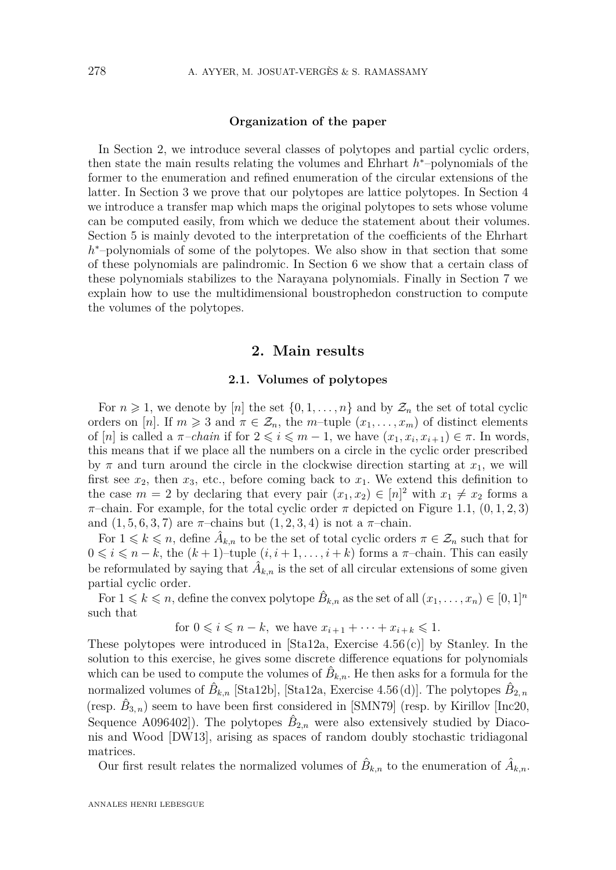#### **Organization of the paper**

<span id="page-3-1"></span>In Section [2,](#page-3-0) we introduce several classes of polytopes and partial cyclic orders, then state the main results relating the volumes and Ehrhart *h* <sup>∗</sup>–polynomials of the former to the enumeration and refined enumeration of the circular extensions of the latter. In Section [3](#page-6-0) we prove that our polytopes are lattice polytopes. In Section [4](#page-8-0) we introduce a transfer map which maps the original polytopes to sets whose volume can be computed easily, from which we deduce the statement about their volumes. Section [5](#page-10-0) is mainly devoted to the interpretation of the coefficients of the Ehrhart h<sup>\*</sup>-polynomials of some of the polytopes. We also show in that section that some of these polynomials are palindromic. In Section [6](#page-14-0) we show that a certain class of these polynomials stabilizes to the Narayana polynomials. Finally in Section [7](#page-17-0) we explain how to use the multidimensional boustrophedon construction to compute the volumes of the polytopes.

### **2. Main results**

#### **2.1. Volumes of polytopes**

<span id="page-3-0"></span>For  $n \geq 1$ , we denote by [*n*] the set  $\{0, 1, \ldots, n\}$  and by  $\mathcal{Z}_n$  the set of total cyclic orders on [*n*]. If  $m \geq 3$  and  $\pi \in \mathcal{Z}_n$ , the *m*-tuple  $(x_1, \ldots, x_m)$  of distinct elements of  $[n]$  is called a  $\pi$ -chain if for  $2 \leqslant i \leqslant m-1$ , we have  $(x_1, x_i, x_{i+1}) \in \pi$ . In words, this means that if we place all the numbers on a circle in the cyclic order prescribed by  $\pi$  and turn around the circle in the clockwise direction starting at  $x_1$ , we will first see  $x_2$ , then  $x_3$ , etc., before coming back to  $x_1$ . We extend this definition to the case  $m = 2$  by declaring that every pair  $(x_1, x_2) \in [n]^2$  with  $x_1 \neq x_2$  forms a  $\pi$ –chain. For example, for the total cyclic order  $\pi$  depicted on Figure [1.1,](#page-2-0) (0, 1, 2, 3) and  $(1, 5, 6, 3, 7)$  are  $\pi$ -chains but  $(1, 2, 3, 4)$  is not a  $\pi$ -chain.

For  $1 \leq k \leq n$ , define  $\hat{A}_{k,n}$  to be the set of total cyclic orders  $\pi \in \mathcal{Z}_n$  such that for  $0 \leq i \leq n-k$ , the  $(k+1)$ –tuple  $(i, i+1, \ldots, i+k)$  forms a  $\pi$ –chain. This can easily be reformulated by saying that  $\hat{A}_{k,n}$  is the set of all circular extensions of some given partial cyclic order.

For  $1 \leq k \leq n$ , define the convex polytope  $\hat{B}_{k,n}$  as the set of all  $(x_1, \ldots, x_n) \in [0,1]^n$ such that

for  $0 \le i \le n - k$ , we have  $x_{i+1} + \cdots + x_{i+k} \le 1$ .

These polytopes were introduced in [\[Sta12a,](#page-21-3) Exercise  $4.56(c)$ ] by Stanley. In the solution to this exercise, he gives some discrete difference equations for polynomials which can be used to compute the volumes of  $\hat{B}_{k,n}$ . He then asks for a formula for the normalized volumes of  $\hat{B}_{k,n}$  [\[Sta12b\]](#page-21-6), [\[Sta12a,](#page-21-3) Exercise 4.56(d)]. The polytopes  $\hat{B}_{2,n}$ (resp.  $\hat{B}_{3,n}$ ) seem to have been first considered in [\[SMN79\]](#page-21-7) (resp. by Kirillov [\[Inc20,](#page-21-8) Sequence A096402<sup>[2]</sup>). The polytopes  $\hat{B}_{2,n}$  were also extensively studied by Diaconis and Wood [\[DW13\]](#page-20-4), arising as spaces of random doubly stochastic tridiagonal matrices.

Our first result relates the normalized volumes of  $\hat{B}_{k,n}$  to the enumeration of  $\hat{A}_{k,n}$ .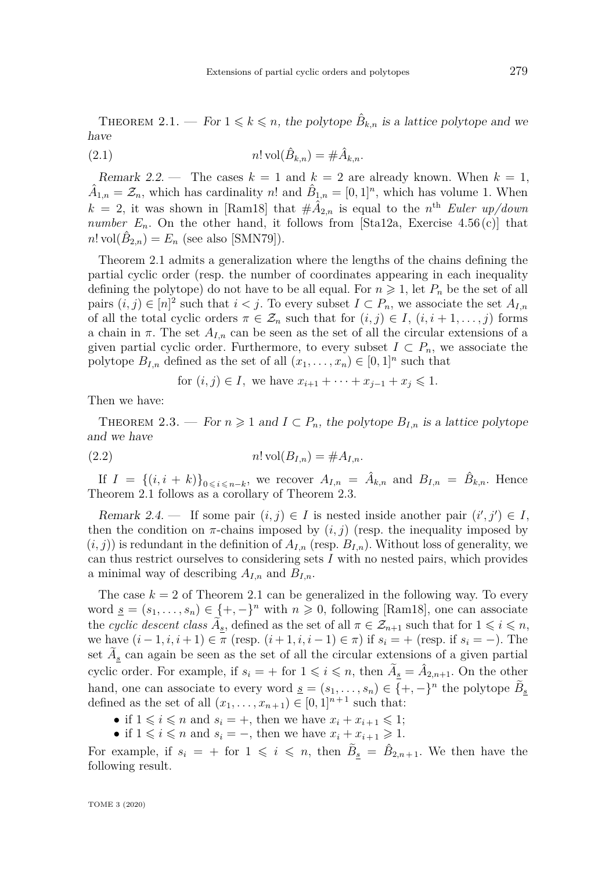<span id="page-4-2"></span><span id="page-4-0"></span>THEOREM 2.1. — For  $1 \leq k \leq n$ , the polytope  $\hat{B}_{k,n}$  is a lattice polytope and we have

(2.1) 
$$
n! \operatorname{vol}(\hat{B}_{k,n}) = \#\hat{A}_{k,n}.
$$

Remark 2.2. — The cases  $k = 1$  and  $k = 2$  are already known. When  $k = 1$ ,  $\hat{A}_{1,n} = \mathcal{Z}_n$ , which has cardinality *n*! and  $\hat{B}_{1,n} = [0,1]^n$ , which has volume 1. When  $k = 2$ , it was shown in [\[Ram18\]](#page-21-5) that  $\#\hat{A}_{2,n}$  is equal to the *n*<sup>th</sup> Euler up/down *number*  $E_n$ . On the other hand, it follows from [\[Sta12a,](#page-21-3) Exercise 4.56(c)] that  $n! \text{ vol}(\hat{B}_{2,n}) = E_n \text{ (see also [SMN79]).}$  $n! \text{ vol}(\hat{B}_{2,n}) = E_n \text{ (see also [SMN79]).}$  $n! \text{ vol}(\hat{B}_{2,n}) = E_n \text{ (see also [SMN79]).}$ 

Theorem [2.1](#page-4-0) admits a generalization where the lengths of the chains defining the partial cyclic order (resp. the number of coordinates appearing in each inequality defining the polytope) do not have to be all equal. For  $n \geq 1$ , let  $P_n$  be the set of all pairs  $(i, j) \in [n]^2$  such that  $i < j$ . To every subset  $I \subset P_n$ , we associate the set  $A_{I,n}$ of all the total cyclic orders  $\pi \in \mathcal{Z}_n$  such that for  $(i, j) \in I$ ,  $(i, i + 1, \ldots, j)$  forms a chain in  $\pi$ . The set  $A_{I,n}$  can be seen as the set of all the circular extensions of a given partial cyclic order. Furthermore, to every subset  $I \subset P_n$ , we associate the polytope  $B_{I,n}$  defined as the set of all  $(x_1, \ldots, x_n) \in [0,1]^n$  such that

for 
$$
(i, j) \in I
$$
, we have  $x_{i+1} + \cdots + x_{j-1} + x_j \leq 1$ .

Then we have:

<span id="page-4-1"></span>THEOREM 2.3. — For  $n \geq 1$  and  $I \subset P_n$ , the polytope  $B_{I,n}$  is a lattice polytope and we have

$$
(2.2) \t\t n! \operatorname{vol}(B_{I,n}) = \#A_{I,n}.
$$

If  $I = \{(i, i + k)\}_{0 \le i \le n-k}$ , we recover  $A_{I,n} = \hat{A}_{k,n}$  and  $B_{I,n} = \hat{B}_{k,n}$ . Hence Theorem [2.1](#page-4-0) follows as a corollary of Theorem [2.3.](#page-4-1)

Remark 2.4. — If some pair  $(i, j) \in I$  is nested inside another pair  $(i', j') \in I$ , then the condition on  $\pi$ -chains imposed by  $(i, j)$  (resp. the inequality imposed by  $(i, j)$ ) is redundant in the definition of  $A_{I,n}$  (resp.  $B_{I,n}$ ). Without loss of generality, we can thus restrict ourselves to considering sets *I* with no nested pairs, which provides a minimal way of describing *AI,n* and *BI,n*.

The case  $k = 2$  of Theorem [2.1](#page-4-0) can be generalized in the following way. To every word  $\underline{s} = (s_1, \ldots, s_n) \in \{+, -\}^n$  with  $n \geq 0$ , following [\[Ram18\]](#page-21-5), one can associate the *cyclic descent class*  $\widetilde{A}_{\underline{s}}$ , defined as the set of all  $\pi \in \mathcal{Z}_{n+1}$  such that for  $1 \leqslant i \leqslant n$ , we have  $(i − 1, i, i + 1) ∈ π (resp. (i + 1, i, i − 1) ∈ π)$  if  $s_i = +$  (resp. if  $s_i = -$ ). The set  $A_{\underline{s}}$  can again be seen as the set of all the circular extensions of a given partial cyclic order. For example, if  $s_i = +$  for  $1 \leqslant i \leqslant n$ , then  $\widetilde{A}_{\underline{s}} = \hat{A}_{2,n+1}$ . On the other hand, one can associate to every word  $\underline{s} = (s_1, \ldots, s_n) \in \{+, -\}^n$  the polytope  $\widetilde{B}_{\underline{s}}$ defined as the set of all  $(x_1, \ldots, x_{n+1}) \in [0,1]^{n+1}$  such that:

- if  $1 \leq i \leq n$  and  $s_i = +$ , then we have  $x_i + x_{i+1} \leq 1$ ;
- if  $1 \leq i \leq n$  and  $s_i = -$ , then we have  $x_i + x_{i+1} \geq 1$ .

For example, if  $s_i = +$  for  $1 \leqslant i \leqslant n$ , then  $\tilde{B}_{\underline{s}} = \hat{B}_{2,n+1}$ . We then have the following result.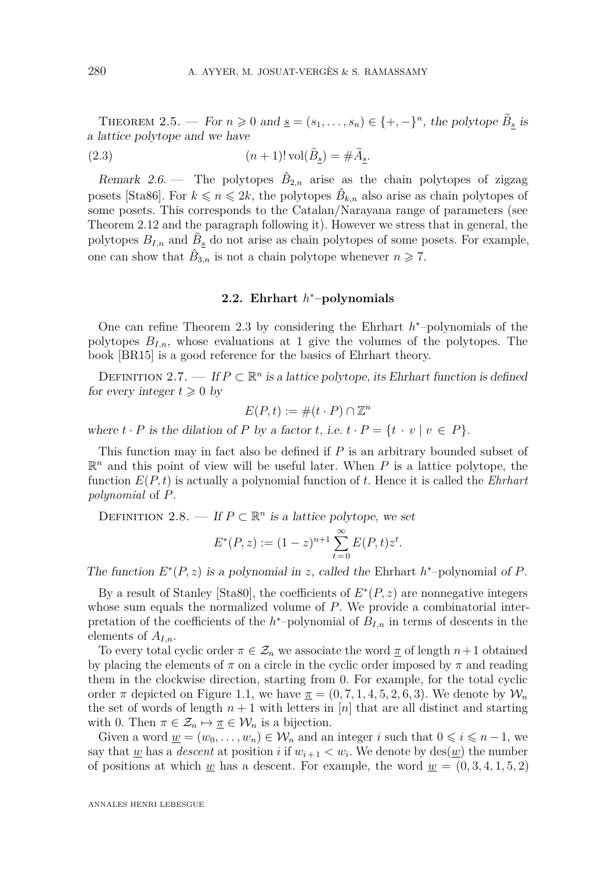<span id="page-5-1"></span><span id="page-5-0"></span>THEOREM 2.5. — For  $n \geq 0$  and  $\underline{s} = (s_1, \ldots, s_n) \in \{+, -\}^n$ , the polytope  $\widetilde{B}_{\underline{s}}$  is a lattice polytope and we have

(2.3) 
$$
(n+1)! \operatorname{vol}(\widetilde{B}_{\underline{s}}) = \#\widetilde{A}_{\underline{s}}.
$$

Remark 2.6. – The polytopes  $\hat{B}_{2,n}$  arise as the chain polytopes of zigzag posets [\[Sta86\]](#page-21-1). For  $k \le n \le 2k$ , the polytopes  $\hat{B}_{k,n}$  also arise as chain polytopes of some posets. This corresponds to the Catalan/Narayana range of parameters (see Theorem [2.12](#page-6-1) and the paragraph following it). However we stress that in general, the polytopes  $B_{I,n}$  and  $B_{\underline{s}}$  do not arise as chain polytopes of some posets. For example, one can show that  $\hat{B}_{3,n}$  is not a chain polytope whenever  $n \geq 7$ .

# **2.2. Ehrhart** *h* <sup>∗</sup>**–polynomials**

One can refine Theorem [2.3](#page-4-1) by considering the Ehrhart *h* <sup>∗</sup>–polynomials of the polytopes *BI,n*, whose evaluations at 1 give the volumes of the polytopes. The book [\[BR15\]](#page-20-2) is a good reference for the basics of Ehrhart theory.

DEFINITION 2.7. — If  $P \subset \mathbb{R}^n$  is a lattice polytope, its Ehrhart function is defined for every integer  $t \geq 0$  by

$$
E(P, t) := \#(t \cdot P) \cap \mathbb{Z}^n
$$

where  $t \cdot P$  is the dilation of  $P$  by a factor  $t$ , i.e.  $t \cdot P = \{t \cdot v \mid v \in P\}.$ 

This function may in fact also be defined if *P* is an arbitrary bounded subset of  $\mathbb{R}^n$  and this point of view will be useful later. When *P* is a lattice polytope, the function *E*(*P, t*) is actually a polynomial function of *t*. Hence it is called the *Ehrhart polynomial* of *P*.

DEFINITION 2.8. — If  $P \subset \mathbb{R}^n$  is a lattice polytope, we set

$$
E^*(P, z) := (1 - z)^{n+1} \sum_{t=0}^{\infty} E(P, t) z^t.
$$

The function  $E^*(P, z)$  is a polynomial in *z*, called the Ehrhart  $h^*$ -polynomial of *P*.

By a result of Stanley [\[Sta80\]](#page-21-2), the coefficients of *E* ∗ (*P, z*) are nonnegative integers whose sum equals the normalized volume of *P*. We provide a combinatorial interpretation of the coefficients of the  $h^*$ -polynomial of  $B_{I,n}$  in terms of descents in the elements of *AI,n*.

To every total cyclic order  $\pi \in \mathcal{Z}_n$  we associate the word  $\pi$  of length  $n+1$  obtained by placing the elements of  $\pi$  on a circle in the cyclic order imposed by  $\pi$  and reading them in the clockwise direction, starting from 0. For example, for the total cyclic order  $\pi$  depicted on Figure [1.1,](#page-2-0) we have  $\pi = (0, 7, 1, 4, 5, 2, 6, 3)$ . We denote by  $\mathcal{W}_n$ the set of words of length  $n + 1$  with letters in [*n*] that are all distinct and starting with 0. Then  $\pi \in \mathcal{Z}_n \mapsto \pi \in \mathcal{W}_n$  is a bijection.

Given a word  $\underline{w} = (w_0, \ldots, w_n) \in \mathcal{W}_n$  and an integer *i* such that  $0 \leq i \leq n-1$ , we say that <u>w</u> has a *descent* at position *i* if  $w_{i+1} < w_i$ . We denote by  $\text{des}(\underline{w})$  the number of positions at which <u>w</u> has a descent. For example, the word  $w = (0, 3, 4, 1, 5, 2)$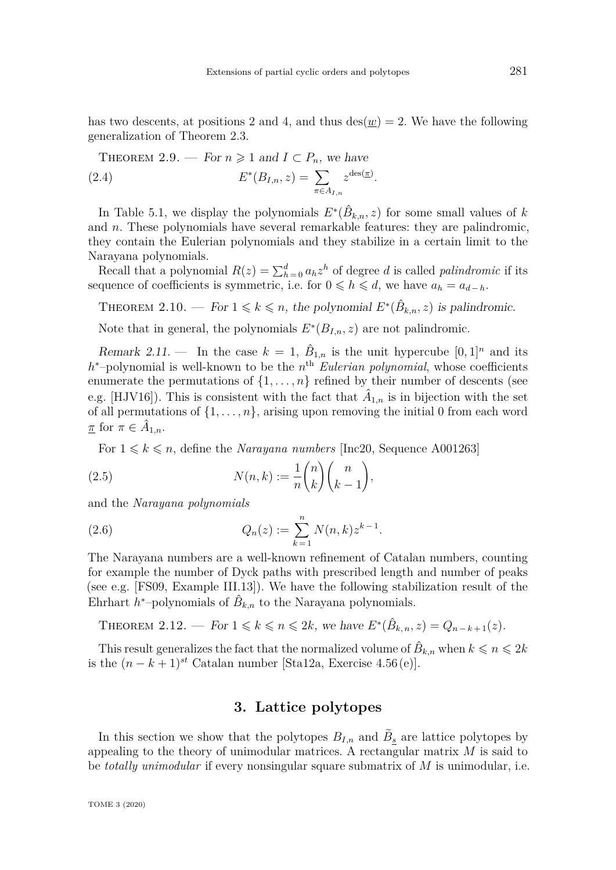<span id="page-6-4"></span>has two descents, at positions 2 and 4, and thus  $\text{des}(w) = 2$ . We have the following generalization of Theorem [2.3.](#page-4-1)

<span id="page-6-2"></span>THEOREM 2.9. — For  $n \geq 1$  and  $I \subset P_n$ , we have

(2.4) 
$$
E^*(B_{I,n}, z) = \sum_{\pi \in A_{I,n}} z^{\text{des}(\pi)}.
$$

In Table [5.1,](#page-13-0) we display the polynomials  $E^*(\hat{B}_{k,n}, z)$  for some small values of *k* and *n*. These polynomials have several remarkable features: they are palindromic, they contain the Eulerian polynomials and they stabilize in a certain limit to the Narayana polynomials.

Recall that a polynomial  $R(z) = \sum_{h=0}^{d} a_h z^h$  of degree *d* is called *palindromic* if its sequence of coefficients is symmetric, i.e. for  $0 \le h \le d$ , we have  $a_h = a_{d-h}$ .

<span id="page-6-3"></span>THEOREM 2.10. — For  $1 \leq k \leq n$ , the polynomial  $E^*(\hat{B}_{k,n}, z)$  is palindromic.

Note that in general, the polynomials  $E^*(B_{I,n}, z)$  are not palindromic.

Remark 2.11. — In the case  $k = 1$ ,  $\hat{B}_{1,n}$  is the unit hypercube  $[0, 1]^n$  and its *h*<sup>∗</sup>–polynomial is well-known to be the *n*<sup>th</sup> *Eulerian polynomial*, whose coefficients enumerate the permutations of  $\{1, \ldots, n\}$  refined by their number of descents (see e.g. [\[HJV16\]](#page-21-9)). This is consistent with the fact that  $\hat{A}_{1,n}$  is in bijection with the set of all permutations of  $\{1, \ldots, n\}$ , arising upon removing the initial 0 from each word  $\overline{\pi}$  for  $\pi \in \hat{A}_{1,n}$ .

For  $1 \leq k \leq n$ , define the *Narayana numbers* [\[Inc20,](#page-21-8) Sequence A001263]

(2.5) 
$$
N(n,k) := \frac{1}{n} \binom{n}{k} \binom{n}{k-1},
$$

and the *Narayana polynomials*

(2.6) 
$$
Q_n(z) := \sum_{k=1}^n N(n,k) z^{k-1}.
$$

The Narayana numbers are a well-known refinement of Catalan numbers, counting for example the number of Dyck paths with prescribed length and number of peaks (see e.g. [\[FS09,](#page-20-5) Example III.13]). We have the following stabilization result of the Ehrhart  $h^*$ -polynomials of  $\hat{B}_{k,n}$  to the Narayana polynomials.

<span id="page-6-1"></span>THEOREM 2.12. — For  $1 \le k \le n \le 2k$ , we have  $E^*(\hat{B}_{k,n}, z) = Q_{n-k+1}(z)$ .

This result generalizes the fact that the normalized volume of  $\hat{B}_{k,n}$  when  $k \leqslant n \leqslant 2k$ is the  $(n - k + 1)^{st}$  Catalan number [\[Sta12a,](#page-21-3) Exercise 4.56(e)].

# **3. Lattice polytopes**

<span id="page-6-0"></span>In this section we show that the polytopes  $B_{I,n}$  and  $B_{\underline{s}}$  are lattice polytopes by appealing to the theory of unimodular matrices. A rectangular matrix *M* is said to be *totally unimodular* if every nonsingular square submatrix of *M* is unimodular, i.e.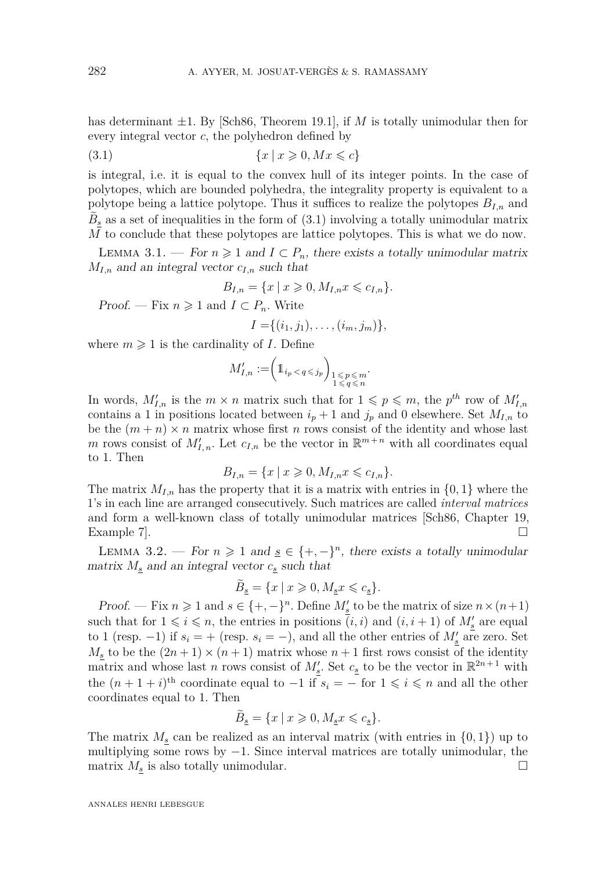<span id="page-7-1"></span>has determinant  $\pm 1$ . By [\[Sch86,](#page-21-10) Theorem 19.1], if *M* is totally unimodular then for every integral vector *c*, the polyhedron defined by

$$
(3.1) \qquad \{x \mid x \geqslant 0, Mx \leqslant c\}
$$

is integral, i.e. it is equal to the convex hull of its integer points. In the case of polytopes, which are bounded polyhedra, the integrality property is equivalent to a polytope being a lattice polytope. Thus it suffices to realize the polytopes *BI,n* and  $B_{\underline{s}}$  as a set of inequalities in the form of  $(3.1)$  involving a totally unimodular matrix *M* to conclude that these polytopes are lattice polytopes. This is what we do now.

LEMMA 3.1. — For  $n \geq 1$  and  $I \subset P_n$ , there exists a totally unimodular matrix  $M_{I,n}$  and an integral vector  $c_{I,n}$  such that

<span id="page-7-0"></span>
$$
B_{I,n} = \{x \mid x \geq 0, M_{I,n} x \leq c_{I,n}\}.
$$

Proof. — Fix  $n \geq 1$  and  $I \subset P_n$ . Write

$$
I = \{(i_1, j_1), \ldots, (i_m, j_m)\},\
$$

where  $m \geq 1$  is the cardinality of *I*. Define

$$
M'_{I,n} := \left(1\!\!1_{i_p < q \,\leqslant\, j_p}\right)_{\substack{1 \,\leqslant\, p \,\leqslant\, m \\ 1 \,\leqslant\, q \,\leqslant\, n}}.
$$

In words,  $M'_{I,n}$  is the  $m \times n$  matrix such that for  $1 \leqslant p \leqslant m$ , the  $p^{th}$  row of  $M'_{I,n}$ contains a 1 in positions located between  $i_p + 1$  and  $j_p$  and 0 elsewhere. Set  $M_{I,n}$  to be the  $(m+n) \times n$  matrix whose first *n* rows consist of the identity and whose last *m* rows consist of  $M'_{I,n}$ . Let  $c_{I,n}$  be the vector in  $\mathbb{R}^{m+n}$  with all coordinates equal to 1. Then

$$
B_{I,n} = \{x \mid x \geq 0, M_{I,n} x \leq c_{I,n}\}.
$$

The matrix  $M_{I,n}$  has the property that it is a matrix with entries in  $\{0,1\}$  where the 1's in each line are arranged consecutively. Such matrices are called *interval matrices* and form a well-known class of totally unimodular matrices [\[Sch86,](#page-21-10) Chapter 19, Example 7].  $\Box$ 

LEMMA 3.2. — For  $n \geq 1$  and  $\underline{s} \in \{+, -\}^n$ , there exists a totally unimodular matrix  $M_s$  and an integral vector  $c_s$  such that

$$
\tilde{B}_{\underline{s}}=\{x\ |\ x\geqslant 0, M_{\underline{s}}x\leqslant c_{\underline{s}}\}.
$$

Proof. — Fix  $n \geq 1$  and  $s \in \{+, -\}^n$ . Define  $M'_s$  to be the matrix of size  $n \times (n+1)$ such that for  $1 \leq i \leq n$ , the entries in positions  $(i, i)$  and  $(i, i + 1)$  of  $M'_{\underline{s}}$  are equal to 1 (resp. -1) if  $s_i = +$  (resp.  $s_i = -$ ), and all the other entries of  $M_s$  are zero. Set  $M_s$  to be the  $(2n+1) \times (n+1)$  matrix whose  $n+1$  first rows consist of the identity matrix and whose last *n* rows consist of  $M'_{s}$ . Set  $c_{s}$  to be the vector in  $\mathbb{R}^{2n+1}$  with the  $(n+1+i)$ <sup>th</sup> coordinate equal to  $-1$  if  $s_i = -$  for  $1 \leq i \leq n$  and all the other coordinates equal to 1. Then

$$
\tilde{B}_{\underline{s}}=\{x\ |\ x\geqslant 0, M_{\underline{s}}x\leqslant c_{\underline{s}}\}.
$$

The matrix  $M_s$  can be realized as an interval matrix (with entries in  $\{0,1\}$ ) up to multiplying some rows by  $-1$ . Since interval matrices are totally unimodular, the matrix  $M_s$  is also totally unimodular.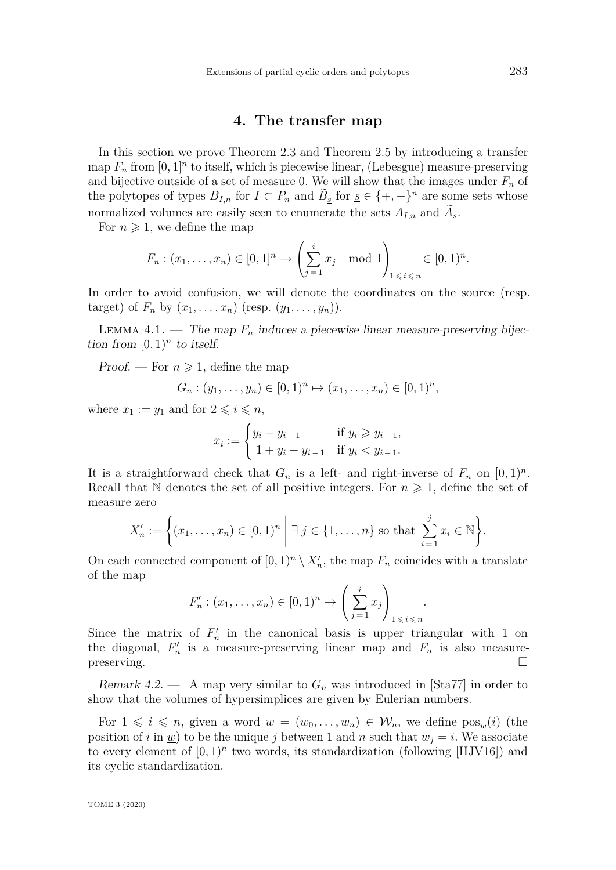## **4. The transfer map**

<span id="page-8-2"></span><span id="page-8-0"></span>In this section we prove Theorem [2.3](#page-4-1) and Theorem [2.5](#page-5-0) by introducing a transfer map  $F_n$  from  $[0,1]^n$  to itself, which is piecewise linear, (Lebesgue) measure-preserving and bijective outside of a set of measure 0. We will show that the images under  $F_n$  of the polytopes of types  $B_{I,n}$  for  $I \subset P_n$  and  $\tilde{B}_{\underline{s}}$  for  $\underline{s} \in \{+,-\}^n$  are some sets whose normalized volumes are easily seen to enumerate the sets  $A_{I,n}$  and  $A_{\underline{s}}$ .

For  $n \geqslant 1$ , we define the map

$$
F_n : (x_1, ..., x_n) \in [0, 1]^n \to \left(\sum_{j=1}^i x_j \mod 1\right)_{1 \leq i \leq n} \in [0, 1)^n.
$$

In order to avoid confusion, we will denote the coordinates on the source (resp. target) of  $F_n$  by  $(x_1, \ldots, x_n)$  (resp.  $(y_1, \ldots, y_n)$ ).

<span id="page-8-1"></span>LEMMA 4.1. — The map  $F_n$  induces a piecewise linear measure-preserving bijection from  $[0,1)^n$  to itself.

Proof. — For  $n \geq 1$ , define the map

$$
G_n : (y_1, \ldots, y_n) \in [0,1)^n \mapsto (x_1, \ldots, x_n) \in [0,1)^n,
$$

where  $x_1 := y_1$  and for  $2 \leq i \leq n$ ,

$$
x_i := \begin{cases} y_i - y_{i-1} & \text{if } y_i \geq y_{i-1}, \\ 1 + y_i - y_{i-1} & \text{if } y_i < y_{i-1}. \end{cases}
$$

It is a straightforward check that  $G_n$  is a left- and right-inverse of  $F_n$  on  $[0,1)^n$ . Recall that N denotes the set of all positive integers. For  $n \geq 1$ , define the set of measure zero

$$
X'_n := \left\{ (x_1, \dots, x_n) \in [0, 1)^n \; \middle| \; \exists \; j \in \{1, \dots, n\} \text{ so that } \sum_{i=1}^j x_i \in \mathbb{N} \right\}.
$$

On each connected component of  $[0,1)^n \setminus X'_n$ , the map  $F_n$  coincides with a translate of the map

$$
F'_n : (x_1, ..., x_n) \in [0, 1)^n \to \left(\sum_{j=1}^i x_j\right)_{1 \leq i \leq n}
$$

*.*

Since the matrix of  $F_n'$  in the canonical basis is upper triangular with 1 on the diagonal,  $F'_n$  is a measure-preserving linear map and  $F_n$  is also measurepreserving.  $\Box$ 

Remark 4.2.  $-$  A map very similar to  $G_n$  was introduced in [\[Sta77\]](#page-21-11) in order to show that the volumes of hypersimplices are given by Eulerian numbers.

For  $1 \leq i \leq n$ , given a word  $\underline{w} = (w_0, \ldots, w_n) \in \mathcal{W}_n$ , we define  $\text{pos}_w(i)$  (the position of *i* in <u>*w*</u>) to be the unique *j* between 1 and *n* such that  $w<sub>j</sub> = i$ . We associate to every element of  $[0,1)^n$  two words, its standardization (following  $[HJV16])$  $[HJV16])$  and its cyclic standardization.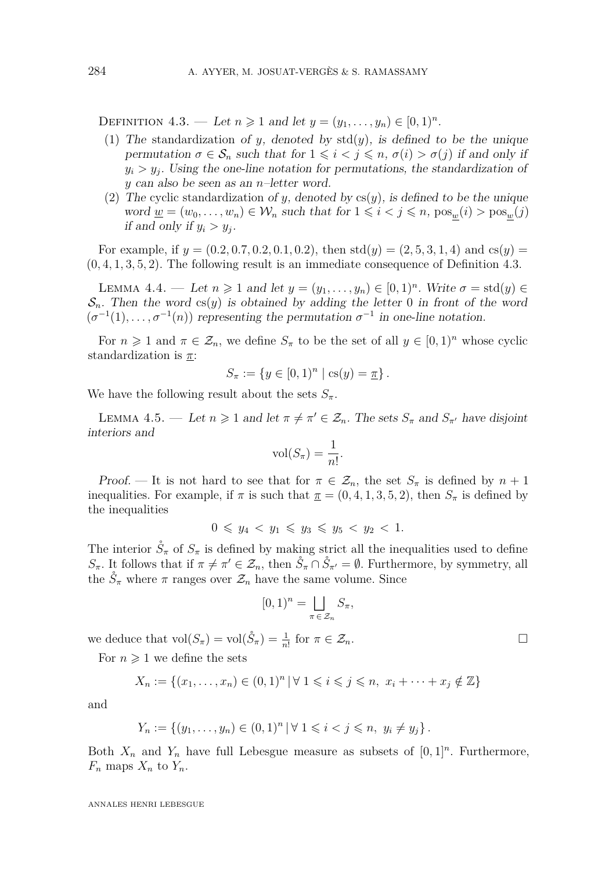<span id="page-9-0"></span>DEFINITION 4.3. — Let  $n \ge 1$  and let  $y = (y_1, ..., y_n) \in [0, 1)^n$ .

- (1) The standardization of *y*, denoted by  $std(y)$ , is defined to be the unique permutation  $\sigma \in \mathcal{S}_n$  such that for  $1 \leq i < j \leq n$ ,  $\sigma(i) > \sigma(j)$  if and only if  $y_i > y_j$ . Using the one-line notation for permutations, the standardization of *y* can also be seen as an *n*–letter word.
- (2) The cyclic standardization of *y*, denoted by  $cs(y)$ , is defined to be the unique word  $\underline{w} = (w_0, \ldots, w_n) \in \mathcal{W}_n$  such that for  $1 \leq i < j \leq n$ ,  $\text{pos}_w(i) > \text{pos}_w(j)$ if and only if  $y_i > y_j$ .

For example, if  $y = (0.2, 0.7, 0.2, 0.1, 0.2)$ , then std $(y) = (2, 5, 3, 1, 4)$  and cs $(y) =$ (0*,* 4*,* 1*,* 3*,* 5*,* 2). The following result is an immediate consequence of Definition [4.3.](#page-9-0)

<span id="page-9-2"></span>LEMMA 4.4. — Let  $n \geq 1$  and let  $y = (y_1, \ldots, y_n) \in [0,1)^n$ . Write  $\sigma = \text{std}(y) \in$  $\mathcal{S}_n$ . Then the word cs(y) is obtained by adding the letter 0 in front of the word  $(\sigma^{-1}(1), \ldots, \sigma^{-1}(n))$  representing the permutation  $\sigma^{-1}$  in one-line notation.

For  $n \geq 1$  and  $\pi \in \mathcal{Z}_n$ , we define  $S_\pi$  to be the set of all  $y \in [0,1)^n$  whose cyclic standardization is *π*:

$$
S_{\pi} := \{ y \in [0,1)^n \mid \text{cs}(y) = \underline{\pi} \}.
$$

We have the following result about the sets  $S_{\pi}$ .

<span id="page-9-1"></span>LEMMA 4.5. — Let  $n \geq 1$  and let  $\pi \neq \pi' \in \mathcal{Z}_n$ . The sets  $S_{\pi}$  and  $S_{\pi'}$  have disjoint interiors and

$$
\text{vol}(S_{\pi}) = \frac{1}{n!}.
$$

Proof. — It is not hard to see that for  $\pi \in \mathcal{Z}_n$ , the set  $S_\pi$  is defined by  $n+1$ inequalities. For example, if  $\pi$  is such that  $\pi = (0, 4, 1, 3, 5, 2)$ , then  $S_{\pi}$  is defined by the inequalities

$$
0 \leq y_4 < y_1 \leq y_3 \leq y_5 < y_2 < 1.
$$

The interior  $\check{S}_{\pi}$  of  $S_{\pi}$  is defined by making strict all the inequalities used to define *S*<sub>*π*</sub>. It follows that if  $\pi \neq \pi' \in \mathcal{Z}_n$ , then  $\mathring{S}_{\pi} \cap \mathring{S}_{\pi'} = \emptyset$ . Furthermore, by symmetry, all the  $\mathring{S}_{\pi}$  where  $\pi$  ranges over  $\mathcal{Z}_n$  have the same volume. Since

$$
[0,1)^n = \bigsqcup_{\pi \in \mathcal{Z}_n} S_{\pi},
$$

we deduce that  $\text{vol}(S_{\pi}) = \text{vol}(\mathring{S}_{\pi}) = \frac{1}{n!}$  for  $\pi \in \mathcal{Z}_n$ .

For  $n \geq 1$  we define the sets

$$
X_n := \{(x_1, \ldots, x_n) \in (0,1)^n \, | \, \forall \, 1 \leq i \leq j \leq n, \ x_i + \cdots + x_j \notin \mathbb{Z}\}
$$

and

$$
Y_n := \{ (y_1, \ldots, y_n) \in (0,1)^n \, | \, \forall \, 1 \leq i < j \leq n, \ y_i \neq y_j \} \, .
$$

Both  $X_n$  and  $Y_n$  have full Lebesgue measure as subsets of  $[0,1]^n$ . Furthermore,  $F_n$  maps  $X_n$  to  $Y_n$ .

ANNALES HENRI LEBESGUE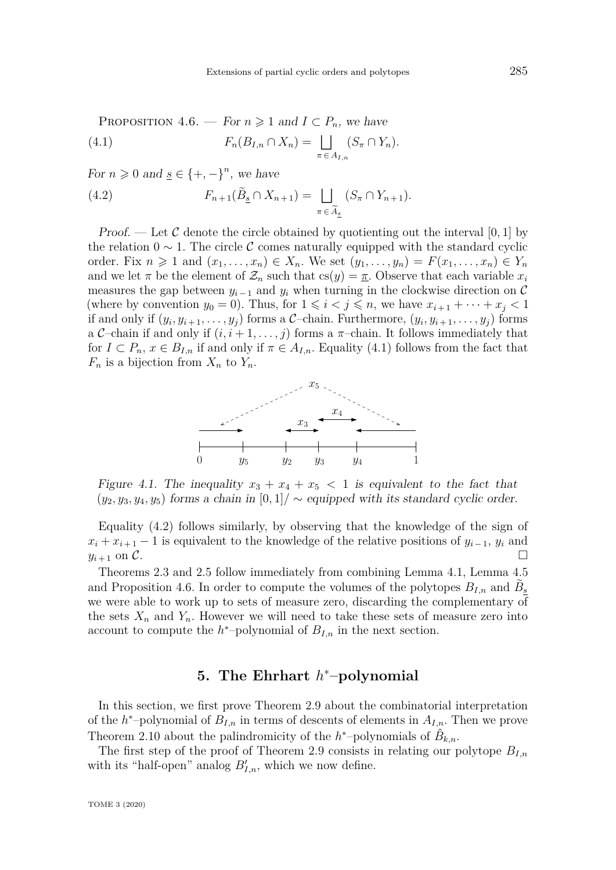<span id="page-10-3"></span><span id="page-10-1"></span>For  $n \geq 0$  and  $\underline{s} \in \{+, -\}^n$ , we have

<span id="page-10-2"></span>(4.2) 
$$
F_{n+1}(\widetilde{B}_{\underline{s}} \cap X_{n+1}) = \bigsqcup_{\pi \in \widetilde{A}_{\underline{s}}} (S_{\pi} \cap Y_{n+1}).
$$

*Proof.* — Let C denote the circle obtained by quotienting out the interval [0, 1] by the relation  $0 \sim 1$ . The circle C comes naturally equipped with the standard cyclic order. Fix  $n \geq 1$  and  $(x_1, \ldots, x_n) \in X_n$ . We set  $(y_1, \ldots, y_n) = F(x_1, \ldots, x_n) \in Y_n$ and we let  $\pi$  be the element of  $\mathcal{Z}_n$  such that  $cs(y) = \pi$ . Observe that each variable  $x_i$ measures the gap between  $y_{i-1}$  and  $y_i$  when turning in the clockwise direction on C (where by convention  $y_0 = 0$ ). Thus, for  $1 \leq i \leq j \leq n$ , we have  $x_{i+1} + \cdots + x_j \leq 1$ if and only if  $(y_i, y_{i+1}, \ldots, y_j)$  forms a C-chain. Furthermore,  $(y_i, y_{i+1}, \ldots, y_j)$  forms a C–chain if and only if  $(i, i+1, \ldots, j)$  forms a  $\pi$ –chain. It follows immediately that for  $I \subset P_n$ ,  $x \in B_{I,n}$  if and only if  $\pi \in A_{I,n}$ . Equality [\(4.1\)](#page-10-1) follows from the fact that  $F_n$  is a bijection from  $X_n$  to  $Y_n$ .



Figure 4.1. The inequality  $x_3 + x_4 + x_5 < 1$  is equivalent to the fact that  $(y_2, y_3, y_4, y_5)$  forms a chain in  $[0, 1] / \sim$  equipped with its standard cyclic order.

Equality [\(4.2\)](#page-10-2) follows similarly, by observing that the knowledge of the sign of  $x_i + x_{i+1} - 1$  is equivalent to the knowledge of the relative positions of  $y_{i-1}, y_i$  and  $y_{i+1}$  on C.

Theorems [2.3](#page-4-1) and [2.5](#page-5-0) follow immediately from combining Lemma [4.1,](#page-8-1) Lemma [4.5](#page-9-1) and Proposition [4.6.](#page-10-3) In order to compute the volumes of the polytopes  $B_{I,n}$  and  $B_{\underline{s}}$ we were able to work up to sets of measure zero, discarding the complementary of the sets  $X_n$  and  $Y_n$ . However we will need to take these sets of measure zero into account to compute the  $h^*$ -polynomial of  $B_{I,n}$  in the next section.

# **5. The Ehrhart** *h* <sup>∗</sup>**–polynomial**

<span id="page-10-0"></span>In this section, we first prove Theorem [2.9](#page-6-2) about the combinatorial interpretation of the  $h^*$ -polynomial of  $B_{I,n}$  in terms of descents of elements in  $A_{I,n}$ . Then we prove Theorem [2.10](#page-6-3) about the palindromicity of the  $h^*$ -polynomials of  $\hat{B}_{k,n}$ .

The first step of the proof of Theorem [2.9](#page-6-2) consists in relating our polytope  $B_{I,n}$ with its "half-open" analog  $B'_{I,n}$ , which we now define.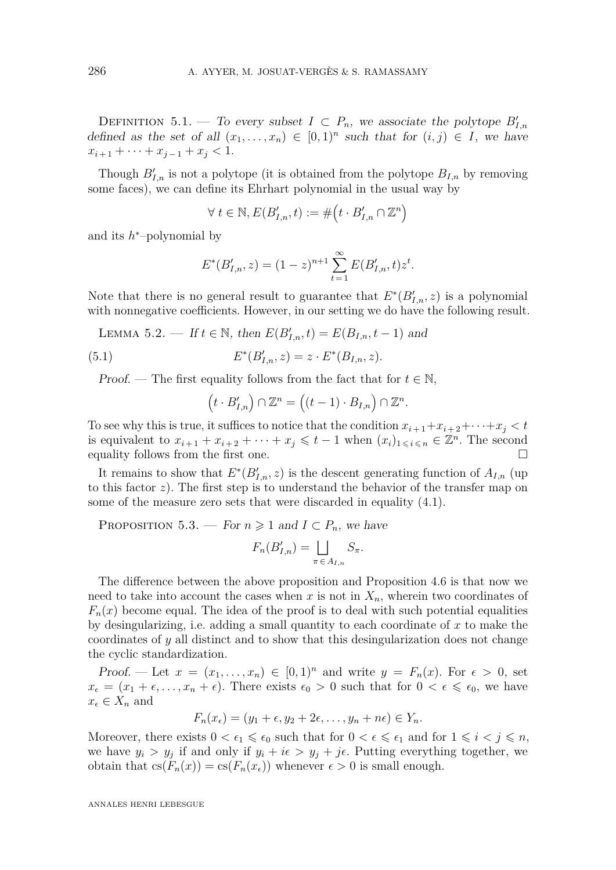DEFINITION 5.1. — To every subset  $I \subset P_n$ , we associate the polytope  $B'_{I,n}$ defined as the set of all  $(x_1, \ldots, x_n) \in [0,1)^n$  such that for  $(i, j) \in I$ , we have  $x_{i+1} + \cdots + x_{i-1} + x_i < 1.$ 

Though  $B'_{I,n}$  is not a polytope (it is obtained from the polytope  $B_{I,n}$  by removing some faces), we can define its Ehrhart polynomial in the usual way by

$$
\forall t \in \mathbb{N}, E(B'_{I,n}, t) := \# \left( t \cdot B'_{I,n} \cap \mathbb{Z}^n \right)
$$

and its *h* <sup>∗</sup>–polynomial by

$$
E^*(B'_{I,n}, z) = (1-z)^{n+1} \sum_{t=1}^{\infty} E(B'_{I,n}, t) z^t.
$$

Note that there is no general result to guarantee that  $E^*(B'_{I,n}, z)$  is a polynomial with nonnegative coefficients. However, in our setting we do have the following result.

LEMMA 5.2. − If  $t \in \mathbb{N}$ , then  $E(B'_{I,n}, t) = E(B_{I,n}, t - 1)$  and

(5.1) 
$$
E^*(B'_{I,n}, z) = z \cdot E^*(B_{I,n}, z).
$$

Proof. — The first equality follows from the fact that for  $t \in \mathbb{N}$ ,

$$
(t\cdot B'_{I,n})\cap\mathbb{Z}^n=\big((t-1)\cdot B_{I,n}\big)\cap\mathbb{Z}^n.
$$

To see why this is true, it suffices to notice that the condition  $x_{i+1}+x_{i+2}+\cdots+x_i < t$ is equivalent to  $x_{i+1} + x_{i+2} + \cdots + x_j \leqslant t-1$  when  $(x_i)_{1 \leqslant i \leqslant n} \in \mathbb{Z}^n$ . The second equality follows from the first one.

It remains to show that  $E^*(B'_{I,n}, z)$  is the descent generating function of  $A_{I,n}$  (up to this factor *z*). The first step is to understand the behavior of the transfer map on some of the measure zero sets that were discarded in equality [\(4.1\)](#page-10-1).

<span id="page-11-0"></span>PROPOSITION 5.3. — For  $n \geq 1$  and  $I \subset P_n$ , we have

$$
F_n(B'_{I,n}) = \bigsqcup_{\pi \in A_{I,n}} S_{\pi}.
$$

The difference between the above proposition and Proposition [4.6](#page-10-3) is that now we need to take into account the cases when  $x$  is not in  $X_n$ , wherein two coordinates of  $F_n(x)$  become equal. The idea of the proof is to deal with such potential equalities by desingularizing, i.e. adding a small quantity to each coordinate of *x* to make the coordinates of *y* all distinct and to show that this desingularization does not change the cyclic standardization.

Proof. — Let  $x = (x_1, \ldots, x_n) \in [0,1)^n$  and write  $y = F_n(x)$ . For  $\epsilon > 0$ , set  $x_{\epsilon} = (x_1 + \epsilon, \ldots, x_n + \epsilon)$ . There exists  $\epsilon_0 > 0$  such that for  $0 < \epsilon \leq \epsilon_0$ , we have  $x_{\epsilon} \in X_n$  and

$$
F_n(x_\epsilon) = (y_1 + \epsilon, y_2 + 2\epsilon, \dots, y_n + n\epsilon) \in Y_n.
$$

Moreover, there exists  $0 < \epsilon_1 \leq \epsilon_0$  such that for  $0 < \epsilon \leq \epsilon_1$  and for  $1 \leq i < j \leq n$ , we have  $y_i > y_j$  if and only if  $y_i + i\epsilon > y_j + j\epsilon$ . Putting everything together, we obtain that  $cs(F_n(x)) = cs(F_n(x))$  whenever  $\epsilon > 0$  is small enough.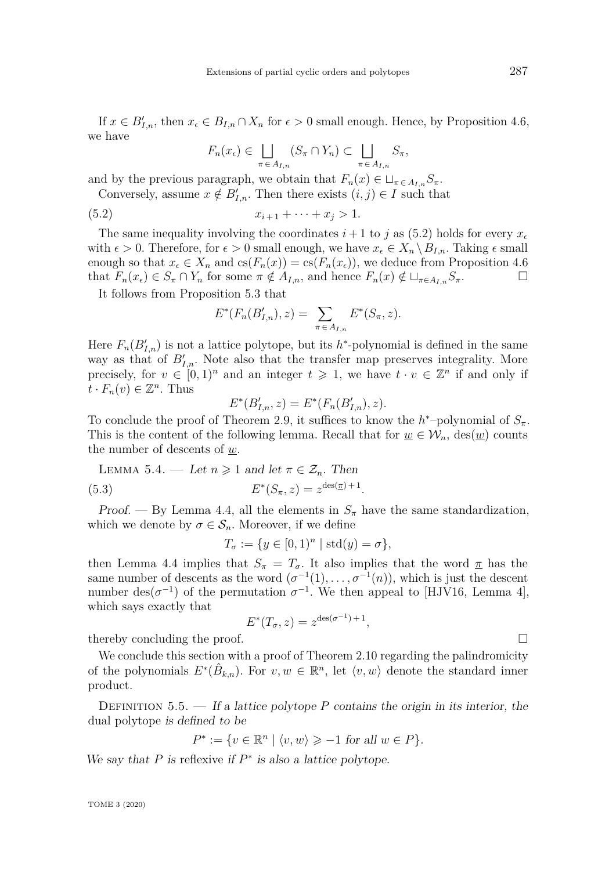<span id="page-12-1"></span>If  $x \in B'_{I,n}$ , then  $x_{\epsilon} \in B_{I,n} \cap X_n$  for  $\epsilon > 0$  small enough. Hence, by Proposition [4.6,](#page-10-3) we have

<span id="page-12-0"></span>
$$
F_n(x_\epsilon) \in \bigsqcup_{\pi \in A_{I,n}} (S_\pi \cap Y_n) \subset \bigsqcup_{\pi \in A_{I,n}} S_\pi,
$$

and by the previous paragraph, we obtain that  $F_n(x) \in \Box_{\pi \in A_{I,n}} S_{\pi}$ .

Conversely, assume  $x \notin B'_{I,n}$ . Then there exists  $(i, j) \in I$  such that

(5.2) 
$$
x_{i+1} + \cdots + x_j > 1.
$$

The same inequality involving the coordinates  $i+1$  to j as [\(5.2\)](#page-12-0) holds for every  $x<sub>e</sub>$ with  $\epsilon > 0$ . Therefore, for  $\epsilon > 0$  small enough, we have  $x_{\epsilon} \in X_n \setminus B_{I,n}$ . Taking  $\epsilon$  small enough so that  $x_{\epsilon} \in X_n$  and  $cs(F_n(x)) = cs(F_n(x_{\epsilon}))$ , we deduce from Proposition [4.6](#page-10-3) that  $F_n(x_\epsilon) \in S_\pi \cap Y_n$  for some  $\pi \notin A_{I,n}$ , and hence  $F_n(x) \notin \sqcup_{\pi \in A_{I,n}} S_\pi$ .

It follows from Proposition [5.3](#page-11-0) that

$$
E^*(F_n(B'_{I,n}), z) = \sum_{\pi \in A_{I,n}} E^*(S_{\pi}, z).
$$

Here  $F_n(B'_{I,n})$  is not a lattice polytope, but its  $h^*$ -polynomial is defined in the same way as that of  $B'_{I,n}$ . Note also that the transfer map preserves integrality. More precisely, for  $v \in [0,1]^n$  and an integer  $t \geq 1$ , we have  $t \cdot v \in \mathbb{Z}^n$  if and only if  $\overline{t} \cdot F_n(v) \in \mathbb{Z}^n$ . Thus

$$
E^*(B'_{I,n}, z) = E^*(F_n(B'_{I,n}), z).
$$

To conclude the proof of Theorem [2.9,](#page-6-2) it suffices to know the  $h^*$ -polynomial of  $S_{\pi}$ . This is the content of the following lemma. Recall that for  $w \in \mathcal{W}_n$ , des $(w)$  counts the number of descents of *w*.

LEMMA 5.4. — Let 
$$
n \ge 1
$$
 and let  $\pi \in \mathcal{Z}_n$ . Then  
(5.3)  $E^*(S_{\pi}, z) = z^{\text{des}(\underline{\pi})+1}$ .

Proof. — By Lemma [4.4,](#page-9-2) all the elements in  $S_\pi$  have the same standardization, which we denote by  $\sigma \in \mathcal{S}_n$ . Moreover, if we define

$$
T_{\sigma} := \{ y \in [0,1)^n \mid \text{std}(y) = \sigma \},
$$

then Lemma [4.4](#page-9-2) implies that  $S_{\pi} = T_{\sigma}$ . It also implies that the word  $\pi$  has the same number of descents as the word  $(\sigma^{-1}(1), \ldots, \sigma^{-1}(n))$ , which is just the descent number des( $\sigma^{-1}$ ) of the permutation  $\sigma^{-1}$ . We then appeal to [\[HJV16,](#page-21-9) Lemma 4], which says exactly that

$$
E^*(T_{\sigma}, z) = z^{\text{des}(\sigma^{-1}) + 1},
$$

thereby concluding the proof.

We conclude this section with a proof of Theorem [2.10](#page-6-3) regarding the palindromicity of the polynomials  $E^*(\hat{B}_{k,n})$ . For  $v, w \in \mathbb{R}^n$ , let  $\langle v, w \rangle$  denote the standard inner product.

DEFINITION  $5.5.$  — If a lattice polytope P contains the origin in its interior, the dual polytope is defined to be

$$
P^* := \{ v \in \mathbb{R}^n \mid \langle v, w \rangle \geqslant -1 \text{ for all } w \in P \}.
$$

We say that  $P$  is reflexive if  $P^*$  is also a lattice polytope.

$$
\Box
$$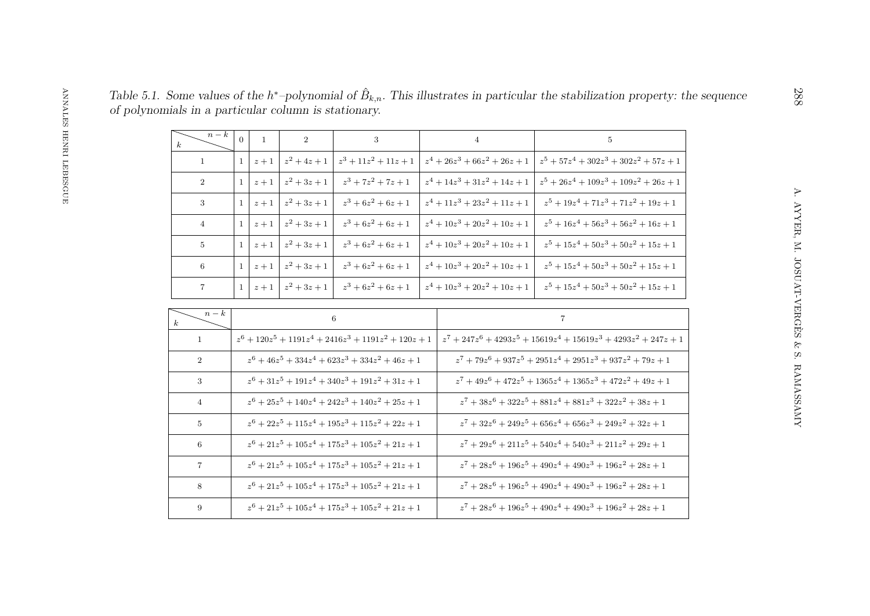<span id="page-13-0"></span>

| $n-k$<br>$\boldsymbol{k}$ | $\Omega$                                                          |       | 2              | 3                                                                         | $\overline{4}$                  | 5                                                     |  |
|---------------------------|-------------------------------------------------------------------|-------|----------------|---------------------------------------------------------------------------|---------------------------------|-------------------------------------------------------|--|
| $\mathbf{1}$              |                                                                   | $z+1$ | $z^2 + 4z + 1$ | $z^3 + 11z^2 + 11z + 1$                                                   | $z^4 + 26z^3 + 66z^2 + 26z + 1$ | $z^5 + 57z^4 + 302z^3 + 302z^2 + 57z + 1$             |  |
| $\overline{2}$            | 1 <sup>1</sup>                                                    | $z+1$ | $z^2 + 3z + 1$ | $z^3 + 7z^2 + 7z + 1$                                                     | $z^4 + 14z^3 + 31z^2 + 14z + 1$ | $z^5 + 26z^4 + 109z^3 + 109z^2 + 26z + 1$             |  |
| 3                         |                                                                   | $z+1$ | $z^2 + 3z + 1$ | $z^3 + 6z^2 + 6z + 1$                                                     | $z^4 + 11z^3 + 23z^2 + 11z + 1$ | $z^5 + 19z^4 + 71z^3 + 71z^2 + 19z + 1$               |  |
| $\overline{4}$            |                                                                   | $z+1$ | $z^2 + 3z + 1$ | $z^3+6z^2+6z+1$                                                           | $z^4 + 10z^3 + 20z^2 + 10z + 1$ | $z^5 + 16z^4 + 56z^3 + 56z^2 + 16z + 1$               |  |
| $5^{\circ}$               | 1 <sup>1</sup>                                                    | $z+1$ | $z^2 + 3z + 1$ | $z^3 + 6z^2 + 6z + 1$                                                     | $z^4 + 10z^3 + 20z^2 + 10z + 1$ | $z^5 + 15z^4 + 50z^3 + 50z^2 + 15z + 1$               |  |
| 6                         |                                                                   | $z+1$ | $z^2 + 3z + 1$ | $z^3 + 6z^2 + 6z + 1$                                                     | $z^4 + 10z^3 + 20z^2 + 10z + 1$ | $z^5 + 15z^4 + 50z^3 + 50z^2 + 15z + 1$               |  |
| $7\overline{ }$           |                                                                   | $z+1$ | $z^2 + 3z + 1$ | $z^3+6z^2+6z+1$                                                           | $z^4 + 10z^3 + 20z^2 + 10z + 1$ | $z^5 + 15z^4 + 50z^3 + 50z^2 + 15z + 1$               |  |
| $n-k$<br>$\boldsymbol{k}$ | 6                                                                 |       |                |                                                                           |                                 | $\overline{7}$                                        |  |
| $\overline{1}$            | $z^{6} + 120z^{5} + 1191z^{4} + 2416z^{3} + 1191z^{2} + 120z + 1$ |       |                |                                                                           |                                 | $z^7+247z^6+4293z^5+15619z^4+15619z^3+4293z^2+247z+1$ |  |
| 2                         | $z^{6} + 46z^{5} + 334z^{4} + 623z^{3} + 334z^{2} + 46z + 1$      |       |                | $z^{7} + 79z^{6} + 937z^{5} + 2951z^{4} + 2951z^{3} + 937z^{2} + 79z + 1$ |                                 |                                                       |  |
| 3                         | $z^{6} + 31z^{5} + 191z^{4} + 340z^{3} + 191z^{2} + 31z + 1$      |       |                | $z^{7} + 49z^{6} + 472z^{5} + 1365z^{4} + 1365z^{3} + 472z^{2} + 49z + 1$ |                                 |                                                       |  |

| $n-k$<br>$\boldsymbol{k}$ | 6                                                                 | 7                                                                                           |
|---------------------------|-------------------------------------------------------------------|---------------------------------------------------------------------------------------------|
| $\mathbf{1}$              | $z^{6} + 120z^{5} + 1191z^{4} + 2416z^{3} + 1191z^{2} + 120z + 1$ | $z^{7} + 247z^{6} + 4293z^{5} + 15619z^{4} + 15619z^{3} + 4293z^{2} + 247z +$               |
| 2                         | $z^{6} + 46z^{5} + 334z^{4} + 623z^{3} + 334z^{2} + 46z + 1$      | $z^{7}$ + 79 $z^{6}$ + 937 $z^{5}$ + 2951 $z^{4}$ + 2951 $z^{3}$ + 937 $z^{2}$ + 79 $z$ + 1 |
| 3                         | $z^{6} + 31z^{5} + 191z^{4} + 340z^{3} + 191z^{2} + 31z + 1$      | $z^{7} + 49z^{6} + 472z^{5} + 1365z^{4} + 1365z^{3} + 472z^{2} + 49z + 1$                   |
| 4                         | $z^{6} + 25z^{5} + 140z^{4} + 242z^{3} + 140z^{2} + 25z + 1$      | $z^{7} + 38z^{6} + 322z^{5} + 881z^{4} + 881z^{3} + 322z^{2} + 38z + 1$                     |
| 5                         | $z^{6} + 22z^{5} + 115z^{4} + 195z^{3} + 115z^{2} + 22z + 1$      | $z^{7} + 32z^{6} + 249z^{5} + 656z^{4} + 656z^{3} + 249z^{2} + 32z + 1$                     |
| 6                         | $z^{6} + 21z^{5} + 105z^{4} + 175z^{3} + 105z^{2} + 21z + 1$      | $z^{7} + 29z^{6} + 211z^{5} + 540z^{4} + 540z^{3} + 211z^{2} + 29z + 1$                     |
| $\overline{7}$            | $z^{6} + 21z^{5} + 105z^{4} + 175z^{3} + 105z^{2} + 21z + 1$      | $z^{7} + 28z^{6} + 196z^{5} + 490z^{4} + 490z^{3} + 196z^{2} + 28z + 1$                     |
| 8                         | $z^{6} + 21z^{5} + 105z^{4} + 175z^{3} + 105z^{2} + 21z + 1$      | $z^{7} + 28z^{6} + 196z^{5} + 490z^{4} + 490z^{3} + 196z^{2} + 28z + 1$                     |
| 9                         | $z^{6} + 21z^{5} + 105z^{4} + 175z^{3} + 105z^{2} + 21z + 1$      | $z^{7} + 28z^{6} + 196z^{5} + 490z^{4} + 490z^{3} + 196z^{2} + 28z + 1$                     |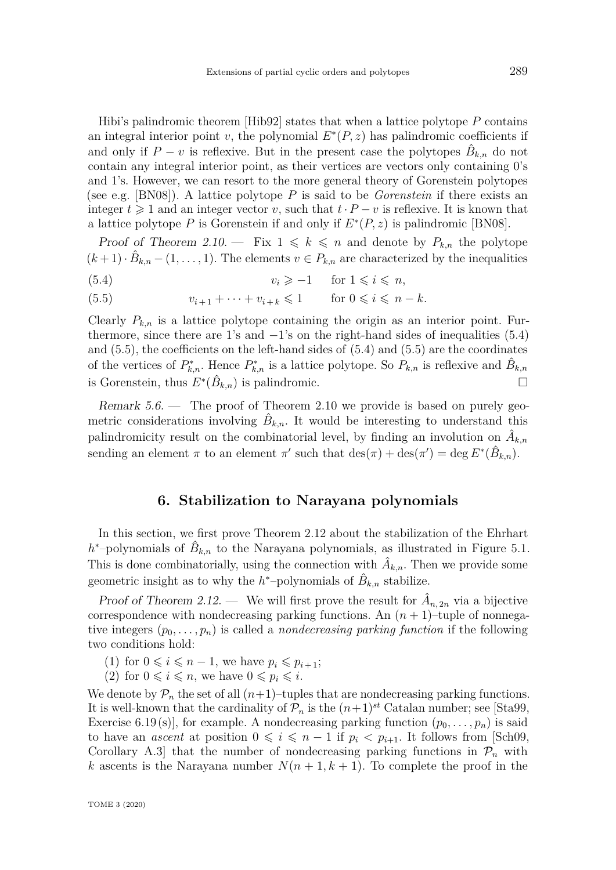<span id="page-14-3"></span>Hibi's palindromic theorem [\[Hib92\]](#page-21-12) states that when a lattice polytope *P* contains an integral interior point *v*, the polynomial  $E^*(P, z)$  has palindromic coefficients if and only if  $P - v$  is reflexive. But in the present case the polytopes  $\hat{B}_{k,n}$  do not contain any integral interior point, as their vertices are vectors only containing 0's and 1's. However, we can resort to the more general theory of Gorenstein polytopes (see e.g. [\[BN08\]](#page-20-3)). A lattice polytope *P* is said to be *Gorenstein* if there exists an integer  $t \geq 1$  and an integer vector *v*, such that  $t \cdot P - v$  is reflexive. It is known that a lattice polytope  $P$  is Gorenstein if and only if  $E^*(P, z)$  is palindromic [\[BN08\]](#page-20-3).

Proof of Theorem [2.10.](#page-6-3) – Fix  $1 \leq k \leq n$  and denote by  $P_{k,n}$  the polytope  $(k+1) \cdot \hat{B}_{k,n} - (1,\ldots,1)$ . The elements  $v \in P_{k,n}$  are characterized by the inequalities

- <span id="page-14-1"></span>(5.4)  $v_i \geq -1 \quad \text{for } 1 \leq i \leq n,$
- <span id="page-14-2"></span>(5.5)  $v_{i+1} + \cdots + v_{i+k} \leq 1$  for  $0 \leq i \leq n-k$ .

Clearly  $P_{k,n}$  is a lattice polytope containing the origin as an interior point. Furthermore, since there are 1's and  $-1$ 's on the right-hand sides of inequalities [\(5.4\)](#page-14-1) and [\(5.5\)](#page-14-2), the coefficients on the left-hand sides of [\(5.4\)](#page-14-1) and [\(5.5\)](#page-14-2) are the coordinates of the vertices of  $P_{k,n}^*$ . Hence  $P_{k,n}^*$  is a lattice polytope. So  $P_{k,n}$  is reflexive and  $\hat{B}_{k,n}$ is Gorenstein, thus  $E^*(\hat{B}_{k,n})$  is palindromic.

Remark 5.6. — The proof of Theorem [2.10](#page-6-3) we provide is based on purely geometric considerations involving  $\hat{B}_{k,n}$ . It would be interesting to understand this palindromicity result on the combinatorial level, by finding an involution on  $\hat{A}_{k,n}$ sending an element  $\pi$  to an element  $\pi'$  such that  $\text{des}(\pi) + \text{des}(\pi') = \text{deg } E^*(\hat{B}_{k,n}).$ 

### **6. Stabilization to Narayana polynomials**

<span id="page-14-0"></span>In this section, we first prove Theorem [2.12](#page-6-1) about the stabilization of the Ehrhart  $h$ <sup>\*</sup>-polynomials of  $\hat{B}_{k,n}$  to the Narayana polynomials, as illustrated in Figure [5.1.](#page-13-0) This is done combinatorially, using the connection with  $\hat{A}_{k,n}$ . Then we provide some geometric insight as to why the  $h^*$ -polynomials of  $\hat{B}_{k,n}$  stabilize.

Proof of Theorem [2.12.](#page-6-1) — We will first prove the result for  $\hat{A}_{n,2n}$  via a bijective correspondence with nondecreasing parking functions. An  $(n + 1)$ –tuple of nonnegative integers  $(p_0, \ldots, p_n)$  is called a *nondecreasing parking function* if the following two conditions hold:

- (1) for  $0 \leq i \leq n-1$ , we have  $p_i \leq p_{i+1}$ ;
- (2) for  $0 \leq i \leq n$ , we have  $0 \leq p_i \leq i$ .

We denote by  $\mathcal{P}_n$  the set of all  $(n+1)$ –tuples that are nondecreasing parking functions. It is well-known that the cardinality of  $\mathcal{P}_n$  is the  $(n+1)^{st}$  Catalan number; see [\[Sta99,](#page-21-13) Exercise 6.19(s), for example. A nondecreasing parking function  $(p_0, \ldots, p_n)$  is said to have an *ascent* at position  $0 \leq i \leq n-1$  if  $p_i < p_{i+1}$ . It follows from [\[Sch09,](#page-21-14) Corollary A.3 that the number of nondecreasing parking functions in  $\mathcal{P}_n$  with *k* ascents is the Narayana number  $N(n+1, k+1)$ . To complete the proof in the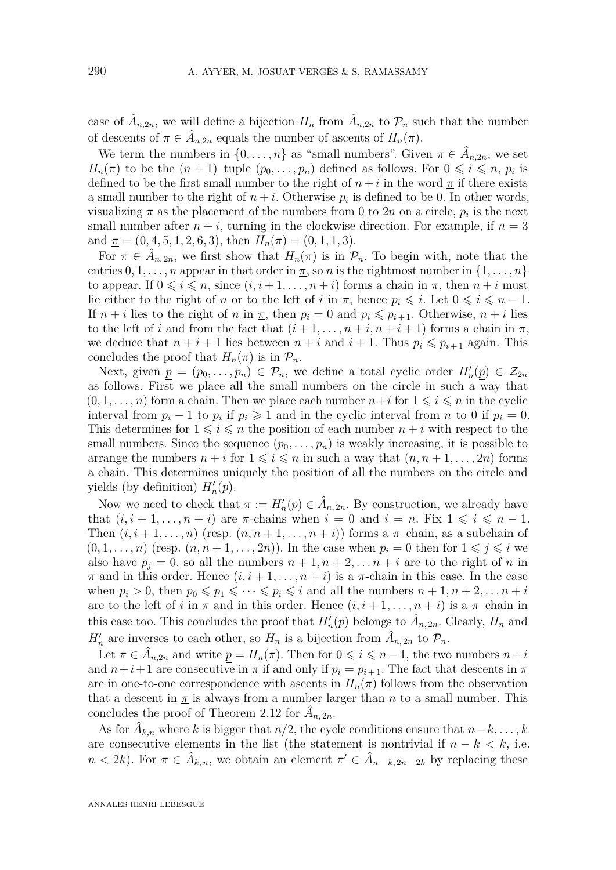case of  $\hat{A}_{n,2n}$ , we will define a bijection  $H_n$  from  $\hat{A}_{n,2n}$  to  $\mathcal{P}_n$  such that the number of descents of  $\pi \in \hat{A}_{n,2n}$  equals the number of ascents of  $H_n(\pi)$ .

We term the numbers in  $\{0, \ldots, n\}$  as "small numbers". Given  $\pi \in \hat{A}_{n,2n}$ , we set *H<sub>n</sub>*( $\pi$ ) to be the  $(n + 1)$ –tuple  $(p_0, \ldots, p_n)$  defined as follows. For  $0 \leq i \leq n$ ,  $p_i$  is defined to be the first small number to the right of  $n + i$  in the word  $\underline{\pi}$  if there exists a small number to the right of  $n + i$ . Otherwise  $p_i$  is defined to be 0. In other words, visualizing  $\pi$  as the placement of the numbers from 0 to 2*n* on a circle,  $p_i$  is the next small number after  $n + i$ , turning in the clockwise direction. For example, if  $n = 3$ and  $\mathbf{I} = (0, 4, 5, 1, 2, 6, 3)$ , then  $H_n(\pi) = (0, 1, 1, 3)$ .

For  $\pi \in \hat{A}_{n,2n}$ , we first show that  $H_n(\pi)$  is in  $\mathcal{P}_n$ . To begin with, note that the entries  $0, 1, \ldots, n$  appear in that order in  $\pi$ , so *n* is the rightmost number in  $\{1, \ldots, n\}$ to appear. If  $0 \leq i \leq n$ , since  $(i, i+1, \ldots, n+i)$  forms a chain in  $\pi$ , then  $n+i$  must lie either to the right of *n* or to the left of *i* in  $\pi$ , hence  $p_i \leq i$ . Let  $0 \leq i \leq n-1$ . If  $n + i$  lies to the right of *n* in  $\pi$ , then  $p_i = 0$  and  $p_i \leq p_{i+1}$ . Otherwise,  $n + i$  lies to the left of *i* and from the fact that  $(i + 1, \ldots, n + i, n + i + 1)$  forms a chain in  $\pi$ , we deduce that  $n + i + 1$  lies between  $n + i$  and  $i + 1$ . Thus  $p_i \leqslant p_{i+1}$  again. This concludes the proof that  $H_n(\pi)$  is in  $\mathcal{P}_n$ .

Next, given  $\underline{p} = (p_0, \ldots, p_n) \in \mathcal{P}_n$ , we define a total cyclic order  $H'_n(\underline{p}) \in \mathcal{Z}_{2n}$ as follows. First we place all the small numbers on the circle in such a way that  $(0, 1, \ldots, n)$  form a chain. Then we place each number  $n+i$  for  $1 \leq i \leq n$  in the cyclic interval from  $p_i - 1$  to  $p_i$  if  $p_i \geq 1$  and in the cyclic interval from *n* to 0 if  $p_i = 0$ . This determines for  $1 \leq i \leq n$  the position of each number  $n + i$  with respect to the small numbers. Since the sequence  $(p_0, \ldots, p_n)$  is weakly increasing, it is possible to arrange the numbers  $n + i$  for  $1 \leq i \leq n$  in such a way that  $(n, n + 1, \ldots, 2n)$  forms a chain. This determines uniquely the position of all the numbers on the circle and yields (by definition)  $H'_n(\underline{p})$ .

Now we need to check that  $\pi := H'_n(p) \in \hat{A}_{n, 2n}$ . By construction, we already have that  $(i, i + 1, \ldots, n + i)$  are  $\pi$ -chains when  $i = 0$  and  $i = n$ . Fix  $1 \leq i \leq n - 1$ . Then  $(i, i+1, \ldots, n)$  (resp.  $(n, n+1, \ldots, n+i)$ ) forms a  $\pi$ -chain, as a subchain of  $(0,1,\ldots,n)$  (resp.  $(n,n+1,\ldots,2n)$ ). In the case when  $p_i=0$  then for  $1\leqslant j\leqslant i$  we also have  $p_j = 0$ , so all the numbers  $n + 1, n + 2, \ldots n + i$  are to the right of *n* in  $\pi$  and in this order. Hence  $(i, i+1, \ldots, n+i)$  is a  $\pi$ -chain in this case. In the case when  $p_i > 0$ , then  $p_0 \leq p_1 \leq \cdots \leq p_i \leq i$  and all the numbers  $n + 1, n + 2, \ldots n + i$ are to the left of *i* in  $\pi$  and in this order. Hence  $(i, i + 1, \ldots, n + i)$  is a  $\pi$ -chain in this case too. This concludes the proof that  $H'_n(p)$  belongs to  $\hat{A}_{n, 2n}$ . Clearly,  $H_n$  and  $H'_n$  are inverses to each other, so  $H_n$  is a bijection from  $\hat{A}_{n,2n}$  to  $\mathcal{P}_n$ .

Let  $\pi \in \hat{A}_{n,2n}$  and write  $p = H_n(\pi)$ . Then for  $0 \leqslant i \leqslant n-1$ , the two numbers  $n+i$ and  $n+i+1$  are consecutive in  $\pi$  if and only if  $p_i = p_{i+1}$ . The fact that descents in  $\pi$ are in one-to-one correspondence with ascents in  $H_n(\pi)$  follows from the observation that a descent in  $\pi$  is always from a number larger than *n* to a small number. This concludes the proof of Theorem [2.12](#page-6-1) for  $\hat{A}_{n, 2n}$ .

As for  $\hat{A}_{k,n}$  where *k* is bigger that  $n/2$ , the cycle conditions ensure that  $n-k,\ldots,k$ are consecutive elements in the list (the statement is nontrivial if  $n - k < k$ , i.e.  $n < 2k$ ). For  $\pi \in \hat{A}_{k,n}$ , we obtain an element  $\pi' \in \hat{A}_{n-k,2n-2k}$  by replacing these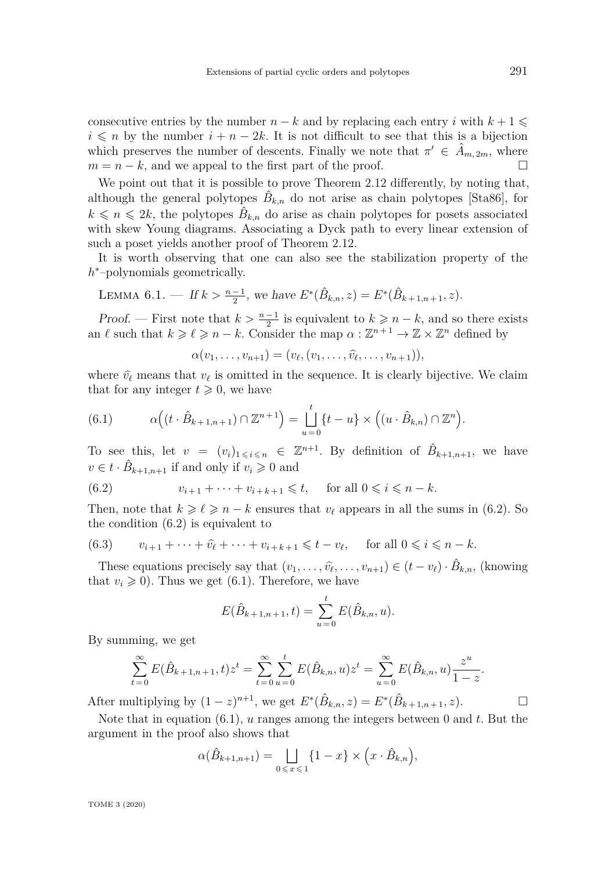<span id="page-16-2"></span>consecutive entries by the number  $n - k$  and by replacing each entry *i* with  $k + 1 \leq$  $i \leq n$  by the number  $i + n - 2k$ . It is not difficult to see that this is a bijection which preserves the number of descents. Finally we note that  $\pi' \in \hat{A}_{m,2m}$ , where  $m = n - k$ , and we appeal to the first part of the proof.

We point out that it is possible to prove Theorem [2.12](#page-6-1) differently, by noting that, although the general polytopes  $\hat{B}_{k,n}$  do not arise as chain polytopes [\[Sta86\]](#page-21-1), for  $k \leq n \leq 2k$ , the polytopes  $\hat{B}_{k,n}$  do arise as chain polytopes for posets associated with skew Young diagrams. Associating a Dyck path to every linear extension of such a poset yields another proof of Theorem [2.12.](#page-6-1)

It is worth observing that one can also see the stabilization property of the *h*<sup>\*</sup>−polynomials geometrically.

LEMMA 6.1. — If 
$$
k > \frac{n-1}{2}
$$
, we have  $E^*(\hat{B}_{k,n}, z) = E^*(\hat{B}_{k+1,n+1}, z)$ .

Proof. — First note that  $k > \frac{n-1}{2}$  is equivalent to  $k \geq n-k$ , and so there exists an  $\ell$  such that  $k \geq \ell \geq n - k$ . Consider the map  $\alpha : \mathbb{Z}^{n+1} \to \mathbb{Z} \times \mathbb{Z}^n$  defined by

$$
\alpha(v_1,\ldots,v_{n+1})=(v_\ell,(v_1,\ldots,\widehat{v}_\ell,\ldots,v_{n+1})),
$$

where  $\hat{v}_{\ell}$  means that  $v_{\ell}$  is omitted in the sequence. It is clearly bijective. We claim that for any integer  $t \geq 0$ , we have

<span id="page-16-1"></span>(6.1) 
$$
\alpha\Big((t\cdot\hat{B}_{k+1,n+1})\cap\mathbb{Z}^{n+1}\Big)=\bigsqcup_{u=0}^t\{t-u\}\times\Big((u\cdot\hat{B}_{k,n})\cap\mathbb{Z}^n\Big).
$$

To see this, let  $v = (v_i)_{1 \leq i \leq n} \in \mathbb{Z}^{n+1}$ . By definition of  $\hat{B}_{k+1,n+1}$ , we have  $v \in t \cdot \hat{B}_{k+1,n+1}$  if and only if  $v_i \geqslant 0$  and

<span id="page-16-0"></span>(6.2) 
$$
v_{i+1} + \cdots + v_{i+k+1} \leq t, \quad \text{for all } 0 \leq i \leq n-k.
$$

Then, note that  $k \geqslant \ell \geqslant n - k$  ensures that  $v_{\ell}$  appears in all the sums in [\(6.2\)](#page-16-0). So the condition [\(6.2\)](#page-16-0) is equivalent to

(6.3) 
$$
v_{i+1} + \dots + \hat{v}_{\ell} + \dots + v_{i+k+1} \leq t - v_{\ell}, \quad \text{for all } 0 \leq i \leq n-k.
$$

These equations precisely say that  $(v_1, \ldots, \hat{v_{\ell}}, \ldots, v_{n+1}) \in (t - v_{\ell}) \cdot \hat{B}_{k,n}$ , (knowing that  $v_i \geq 0$ ). Thus we get [\(6.1\)](#page-16-1). Therefore, we have

$$
E(\hat{B}_{k+1,n+1},t) = \sum_{u=0}^{t} E(\hat{B}_{k,n},u).
$$

By summing, we get

$$
\sum_{t=0}^{\infty} E(\hat{B}_{k+1,n+1}, t) z^t = \sum_{t=0}^{\infty} \sum_{u=0}^{t} E(\hat{B}_{k,n}, u) z^t = \sum_{u=0}^{\infty} E(\hat{B}_{k,n}, u) \frac{z^u}{1-z}.
$$

After multiplying by  $(1 - z)^{n+1}$ , we get  $E^*(\hat{B}_{k,n}, z) = E^*(\hat{B}_{k+1,n+1}, z)$ .

Note that in equation [\(6.1\)](#page-16-1), *u* ranges among the integers between 0 and *t*. But the argument in the proof also shows that

$$
\alpha(\hat{B}_{k+1,n+1}) = \bigsqcup_{0 \leq x \leq 1} \{1-x\} \times \left(x \cdot \hat{B}_{k,n}\right),
$$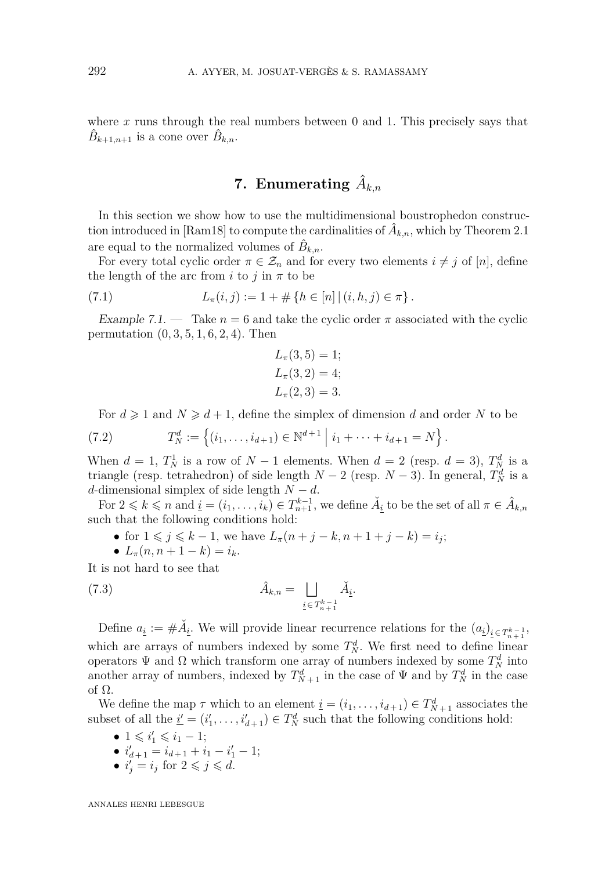<span id="page-17-1"></span>where x runs through the real numbers between 0 and 1. This precisely says that  $\hat{B}_{k+1,n+1}$  is a cone over  $\hat{B}_{k,n}$ .

# $\mathbf 7. \;\; {\rm Enumerating}\;\hat A_{k,n}$

<span id="page-17-0"></span>In this section we show how to use the multidimensional boustrophedon construc-tion introduced in [\[Ram18\]](#page-21-5) to compute the cardinalities of  $\hat{A}_{k,n}$ , which by Theorem [2.1](#page-4-0) are equal to the normalized volumes of  $\hat{B}_{k,n}$ .

For every total cyclic order  $\pi \in \mathcal{Z}_n$  and for every two elements  $i \neq j$  of [*n*], define the length of the arc from *i* to *j* in  $\pi$  to be

(7.1) 
$$
L_{\pi}(i,j) := 1 + \# \{ h \in [n] \mid (i,h,j) \in \pi \}.
$$

Example 7.1. — Take  $n = 6$  and take the cyclic order  $\pi$  associated with the cyclic permutation (0*,* 3*,* 5*,* 1*,* 6*,* 2*,* 4). Then

$$
L_{\pi}(3, 5) = 1;
$$
  
\n
$$
L_{\pi}(3, 2) = 4;
$$
  
\n
$$
L_{\pi}(2, 3) = 3.
$$

For  $d \ge 1$  and  $N \ge d+1$ , define the simplex of dimension *d* and order *N* to be

(7.2) 
$$
T_N^d := \left\{ (i_1, \ldots, i_{d+1}) \in \mathbb{N}^{d+1} \mid i_1 + \cdots + i_{d+1} = N \right\}.
$$

When  $d = 1$ ,  $T_N^1$  is a row of  $N-1$  elements. When  $d = 2$  (resp.  $d = 3$ ),  $T_N^d$  is a triangle (resp. tetrahedron) of side length  $N-2$  (resp.  $N-3$ ). In general,  $T_N^d$  is a *d*-dimensional simplex of side length  $N - d$ .

For  $2 \leq k \leq n$  and  $\underline{i} = (i_1, \ldots, i_k) \in T_{n+1}^{k-1}$ , we define  $\check{A}_{\underline{i}}$  to be the set of all  $\pi \in \hat{A}_{k,n}$ such that the following conditions hold:

- for  $1 \leq j \leq k 1$ , we have  $L_{\pi}(n + j k, n + 1 + j k) = i_j$ ;
- $L_{\pi}(n, n+1-k) = i_k$ .

It is not hard to see that

(7.3) 
$$
\hat{A}_{k,n} = \bigsqcup_{\underline{i} \in T_{n+1}^{k-1}} \check{A}_{\underline{i}}.
$$

Define  $a_i := #\check{A}_{i}$ . We will provide linear recurrence relations for the  $(a_i)_{i \in T_{n+1}^{k-1}}$ , which are arrays of numbers indexed by some  $T_N^d$ . We first need to define linear operators  $\Psi$  and  $\Omega$  which transform one array of numbers indexed by some  $T_N^d$  into another array of numbers, indexed by  $T_{N+1}^d$  in the case of  $\Psi$  and by  $T_N^d$  in the case of Ω.

We define the map  $\tau$  which to an element  $\underline{i} = (i_1, \ldots, i_{d+1}) \in T_{N+1}^d$  associates the subset of all the  $\underline{i}' = (i'_1, \ldots, i'_{d+1}) \in T_N^d$  such that the following conditions hold:

- $1 \le i'_1 \le i_1 1;$
- $i'_{d+1} = i_{d+1} + i_1 i'_1 1;$
- $i_j^{\prime} = i_j$  for  $2 \leq j \leq d$ .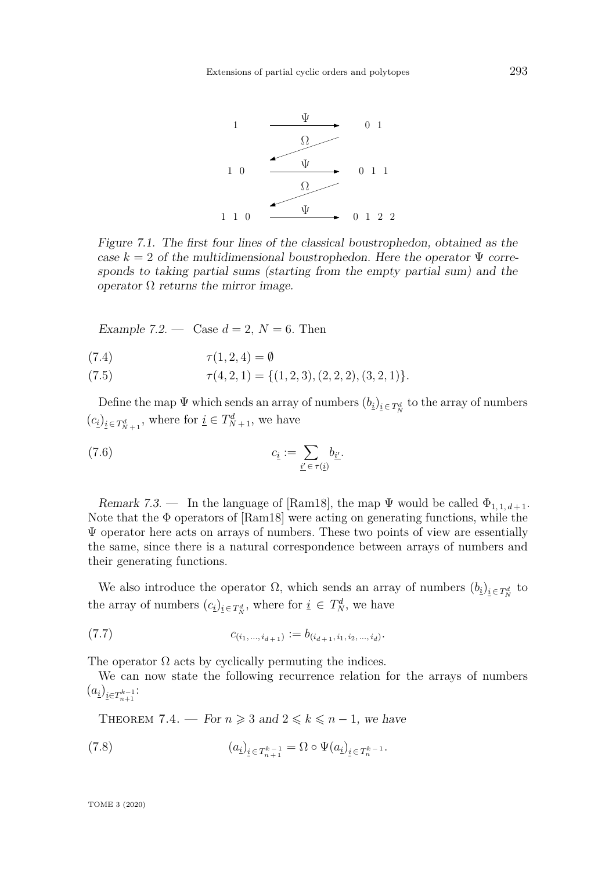<span id="page-18-2"></span>

<span id="page-18-1"></span>Figure 7.1. The first four lines of the classical boustrophedon, obtained as the case  $k = 2$  of the multidimensional boustrophedon. Here the operator  $\Psi$  corresponds to taking partial sums (starting from the empty partial sum) and the operator  $Ω$  returns the mirror image.

Example 7.2. — Case  $d = 2$ ,  $N = 6$ . Then

(7.4)  $\tau(1, 2, 4) = \emptyset$ 

 $\tau(4, 2, 1) = \{(1, 2, 3), (2, 2, 2), (3, 2, 1)\}.$ 

Define the map  $\Psi$  which sends an array of numbers  $(b_i)_{i \in T_N^d}$  to the array of numbers  $(c_i)_{i \in T^d_{N+1}}$ , where for  $i \in T^d_{N+1}$ , we have

(7.6) 
$$
c_{\underline{i}} := \sum_{\underline{i'} \in \tau(\underline{i})} b_{\underline{i'}}.
$$

Remark 7.3. — In the language of [\[Ram18\]](#page-21-5), the map  $\Psi$  would be called  $\Phi_{1,1,d+1}$ . Note that the Φ operators of [\[Ram18\]](#page-21-5) were acting on generating functions, while the  $\Psi$  operator here acts on arrays of numbers. These two points of view are essentially the same, since there is a natural correspondence between arrays of numbers and their generating functions.

We also introduce the operator  $\Omega$ , which sends an array of numbers  $(b_i)_{i \in T_N^d}$  to the array of numbers  $(c_i)_{i \in T_N^d}$ , where for  $i \in T_N^d$ , we have

$$
(7.7) \t c_{(i_1,\ldots,i_{d+1})} := b_{(i_{d+1},i_1,i_2,\ldots,i_d)}.
$$

The operator  $\Omega$  acts by cyclically permuting the indices.

We can now state the following recurrence relation for the arrays of numbers  $(a_1)_{i \in T_{n+1}^{k-1}}$ :

<span id="page-18-0"></span>THEOREM 7.4. — For  $n \geq 3$  and  $2 \leq k \leq n-1$ , we have

(7.8) 
$$
(a_{\underline{i}})_{\underline{i} \in T_{n+1}^{k-1}} = \Omega \circ \Psi(a_{\underline{i}})_{\underline{i} \in T_n^{k-1}}.
$$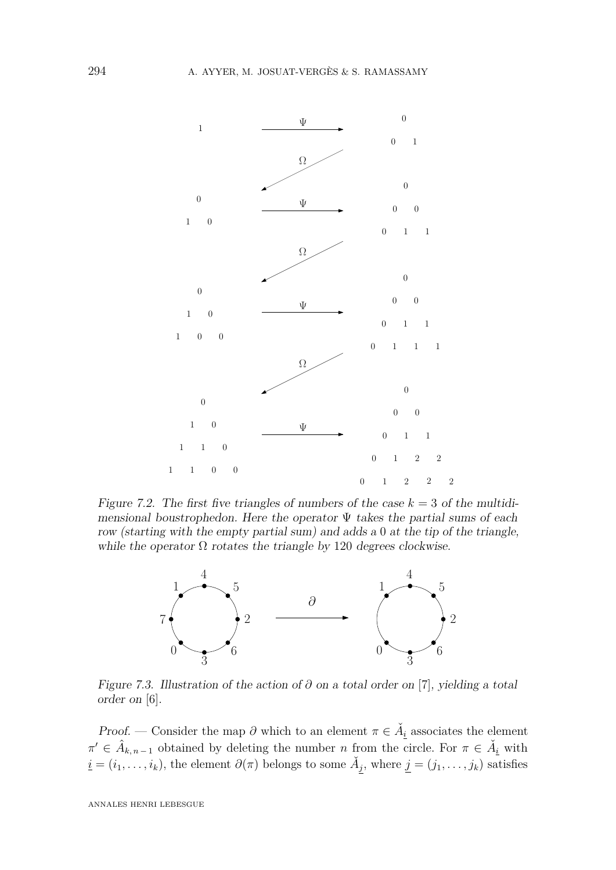

<span id="page-19-0"></span>Figure 7.2. The first five triangles of numbers of the case  $k = 3$  of the multidimensional boustrophedon. Here the operator  $\Psi$  takes the partial sums of each row (starting with the empty partial sum) and adds a 0 at the tip of the triangle, while the operator  $\Omega$  rotates the triangle by 120 degrees clockwise.



Figure 7.3. Illustration of the action of *∂* on a total order on [7], yielding a total order on [6].

Proof. — Consider the map  $\partial$  which to an element  $\pi \in \tilde{A}_i$  associates the element  $\pi' \in \hat{A}_{k,n-1}$  obtained by deleting the number *n* from the circle. For  $\pi \in \check{A}_{i}$  with  $\underline{i} = (i_1, \ldots, i_k)$ , the element  $\partial(\pi)$  belongs to some  $\check{A}_j$ , where  $j = (j_1, \ldots, j_k)$  satisfies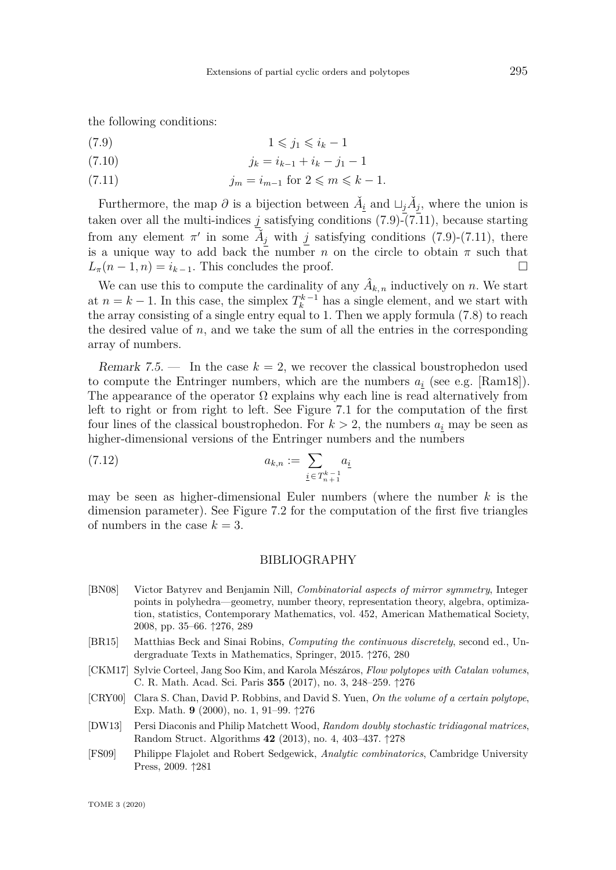<span id="page-20-8"></span>the following conditions:

<span id="page-20-6"></span>
$$
(7.9) \t\t\t 1 \leqslant j_1 \leqslant i_k - 1
$$

$$
(7.10) \t\t j_k = i_{k-1} + i_k - j_1 - 1
$$

<span id="page-20-7"></span>(7.11)  $j_m = i_{m-1}$  for  $2 \leq m \leq k - 1$ .

Furthermore, the map  $\partial$  is a bijection between  $\check{A}_i$  and  $\sqcup_j \check{A}_j$ , where the union is taken over all the multi-indices  $j$  satisfying conditions [\(7.9\)](#page-20-6)-[\(7.11\)](#page-20-7), because starting from any element  $\pi'$  in some  $\check{A}_j$  with *j* satisfying conditions [\(7.9\)](#page-20-6)-[\(7.11\)](#page-20-7), there is a unique way to add back the number *n* on the circle to obtain  $\pi$  such that  $L_{\pi}(n-1,n) = i_{k-1}$ . This concludes the proof.

We can use this to compute the cardinality of any  $\hat{A}_{k,n}$  inductively on *n*. We start at  $n = k - 1$ . In this case, the simplex  $T_k^{k-1}$  has a single element, and we start with the array consisting of a single entry equal to 1. Then we apply formula  $(7.8)$  to reach the desired value of  $n$ , and we take the sum of all the entries in the corresponding array of numbers.

Remark 7.5.  $\blacksquare$  In the case  $k = 2$ , we recover the classical boustrophedon used to compute the Entringer numbers, which are the numbers  $a_i$  (see e.g. [\[Ram18\]](#page-21-5)). The appearance of the operator  $\Omega$  explains why each line is read alternatively from left to right or from right to left. See Figure [7.1](#page-18-1) for the computation of the first four lines of the classical boustrophedon. For  $k > 2$ , the numbers  $a_i$  may be seen as higher-dimensional versions of the Entringer numbers and the numbers

(7.12) 
$$
a_{k,n} := \sum_{\underline{i} \in T_{n+1}^{k-1}} a_{\underline{i}}
$$

may be seen as higher-dimensional Euler numbers (where the number *k* is the dimension parameter). See Figure [7.2](#page-19-0) for the computation of the first five triangles of numbers in the case  $k = 3$ .

#### BIBLIOGRAPHY

- <span id="page-20-3"></span>[BN08] Victor Batyrev and Benjamin Nill, *Combinatorial aspects of mirror symmetry*, Integer points in polyhedra—geometry, number theory, representation theory, algebra, optimization, statistics, Contemporary Mathematics, vol. 452, American Mathematical Society, 2008, pp. 35–66. ↑[276,](#page-1-0) [289](#page-14-3)
- <span id="page-20-2"></span>[BR15] Matthias Beck and Sinai Robins, *Computing the continuous discretely*, second ed., Undergraduate Texts in Mathematics, Springer, 2015. ↑[276,](#page-1-0) [280](#page-5-1)
- <span id="page-20-1"></span>[CKM17] Sylvie Corteel, Jang Soo Kim, and Karola Mészáros, *Flow polytopes with Catalan volumes*, C. R. Math. Acad. Sci. Paris **355** (2017), no. 3, 248–259. ↑[276](#page-1-0)
- <span id="page-20-0"></span>[CRY00] Clara S. Chan, David P. Robbins, and David S. Yuen, *On the volume of a certain polytope*, Exp. Math. **9** (2000), no. 1, 91–99. ↑[276](#page-1-0)
- <span id="page-20-4"></span>[DW13] Persi Diaconis and Philip Matchett Wood, *Random doubly stochastic tridiagonal matrices*, Random Struct. Algorithms **42** (2013), no. 4, 403–437. ↑[278](#page-3-1)
- <span id="page-20-5"></span>[FS09] Philippe Flajolet and Robert Sedgewick, *Analytic combinatorics*, Cambridge University Press, 2009. ↑[281](#page-6-4)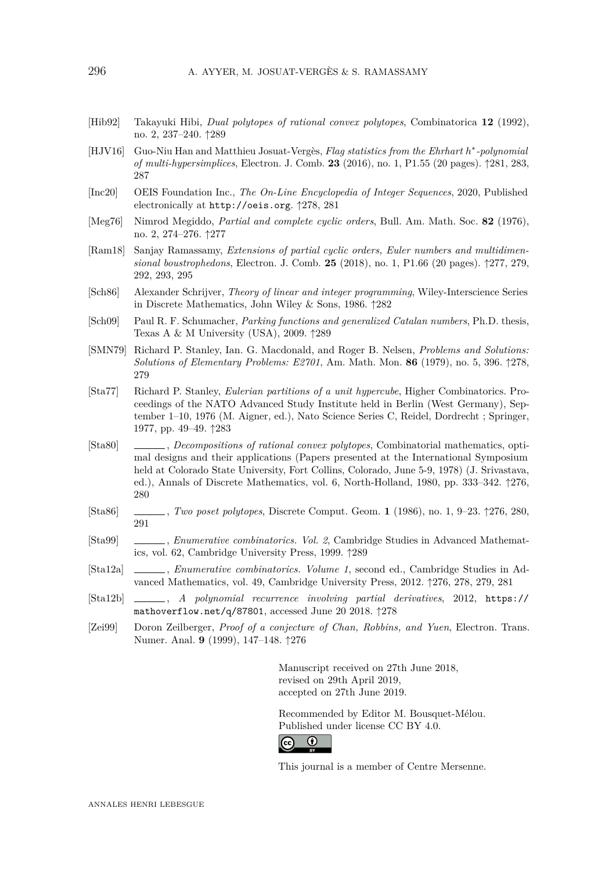- <span id="page-21-12"></span>[Hib92] Takayuki Hibi, *Dual polytopes of rational convex polytopes*, Combinatorica **12** (1992), no. 2, 237–240. ↑[289](#page-14-3)
- <span id="page-21-9"></span>[HJV16] Guo-Niu Han and Matthieu Josuat-Vergès, *Flag statistics from the Ehrhart h* ∗ *-polynomial of multi-hypersimplices*, Electron. J. Comb. **23** (2016), no. 1, P1.55 (20 pages). ↑[281,](#page-6-4) [283,](#page-8-2) [287](#page-12-1)
- <span id="page-21-8"></span>[Inc20] OEIS Foundation Inc., *The On-Line Encyclopedia of Integer Sequences*, 2020, Published electronically at <http://oeis.org>. ↑[278,](#page-3-1) [281](#page-6-4)
- <span id="page-21-4"></span>[Meg76] Nimrod Megiddo, *Partial and complete cyclic orders*, Bull. Am. Math. Soc. **82** (1976), no. 2, 274–276. ↑[277](#page-2-1)
- <span id="page-21-5"></span>[Ram18] Sanjay Ramassamy, *Extensions of partial cyclic orders, Euler numbers and multidimensional boustrophedons*, Electron. J. Comb. **25** (2018), no. 1, P1.66 (20 pages). ↑[277,](#page-2-1) [279,](#page-4-2) [292,](#page-17-1) [293,](#page-18-2) [295](#page-20-8)
- <span id="page-21-10"></span>[Sch86] Alexander Schrijver, *Theory of linear and integer programming*, Wiley-Interscience Series in Discrete Mathematics, John Wiley & Sons, 1986. ↑[282](#page-7-1)
- <span id="page-21-14"></span>[Sch09] Paul R. F. Schumacher, *Parking functions and generalized Catalan numbers*, Ph.D. thesis, Texas A & M University (USA), 2009. ↑[289](#page-14-3)
- <span id="page-21-7"></span>[SMN79] Richard P. Stanley, Ian. G. Macdonald, and Roger B. Nelsen, *Problems and Solutions: Solutions of Elementary Problems: E2701*, Am. Math. Mon. **86** (1979), no. 5, 396. ↑[278,](#page-3-1) [279](#page-4-2)
- <span id="page-21-11"></span>[Sta77] Richard P. Stanley, *Eulerian partitions of a unit hypercube*, Higher Combinatorics. Proceedings of the NATO Advanced Study Institute held in Berlin (West Germany), September 1–10, 1976 (M. Aigner, ed.), Nato Science Series C, Reidel, Dordrecht ; Springer, 1977, pp. 49–49. ↑[283](#page-8-2)
- <span id="page-21-2"></span>[Sta80] , *Decompositions of rational convex polytopes*, Combinatorial mathematics, optimal designs and their applications (Papers presented at the International Symposium held at Colorado State University, Fort Collins, Colorado, June 5-9, 1978) (J. Srivastava, ed.), Annals of Discrete Mathematics, vol. 6, North-Holland, 1980, pp. 333–342. ↑[276,](#page-1-0) [280](#page-5-1)
- <span id="page-21-1"></span>[Sta86] , *Two poset polytopes*, Discrete Comput. Geom. **1** (1986), no. 1, 9–23. ↑[276,](#page-1-0) [280,](#page-5-1) [291](#page-16-2)
- <span id="page-21-13"></span>[Sta99] , *Enumerative combinatorics. Vol. 2*, Cambridge Studies in Advanced Mathematics, vol. 62, Cambridge University Press, 1999. ↑[289](#page-14-3)
- <span id="page-21-3"></span>[Sta12a] , *Enumerative combinatorics. Volume 1*, second ed., Cambridge Studies in Advanced Mathematics, vol. 49, Cambridge University Press, 2012. ↑[276,](#page-1-0) [278,](#page-3-1) [279,](#page-4-2) [281](#page-6-4)
- <span id="page-21-6"></span>[Sta12b] , *A polynomial recurrence involving partial derivatives*, 2012, [https://](https://mathoverflow.net/q/87801) [mathoverflow.net/q/87801](https://mathoverflow.net/q/87801), accessed June 20 2018. ↑[278](#page-3-1)
- <span id="page-21-0"></span>[Zei99] Doron Zeilberger, *Proof of a conjecture of Chan, Robbins, and Yuen*, Electron. Trans. Numer. Anal. **9** (1999), 147–148. ↑[276](#page-1-0)

Manuscript received on 27th June 2018, revised on 29th April 2019, accepted on 27th June 2019.

Recommended by Editor M. Bousquet-Mélou. Published under license [CC BY 4.0.](https://creativecommons.org/licenses/by/4.0/)



This journal is a member of [Centre Mersenne.](http://www.centre-mersenne.org/)